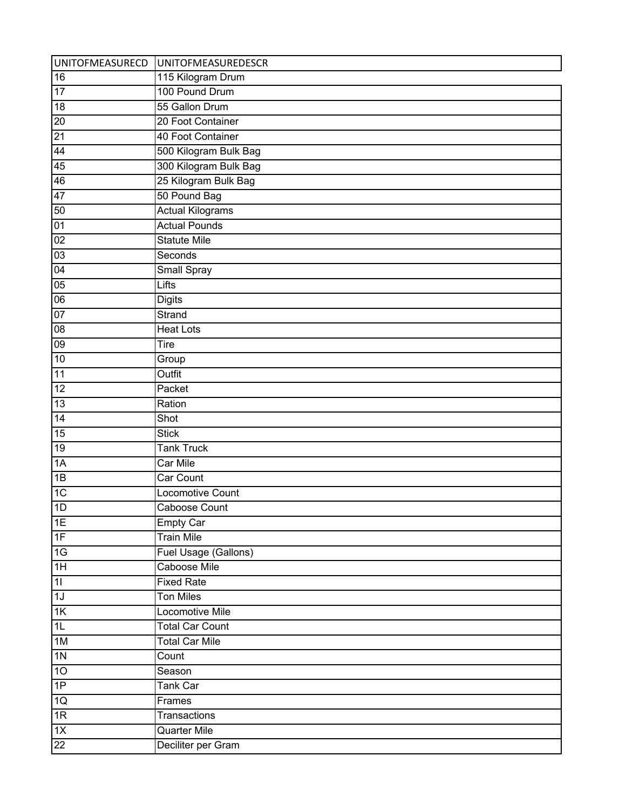|                 | UNITOFMEASURECD UNITOFMEASUREDESCR |
|-----------------|------------------------------------|
| 16              | 115 Kilogram Drum                  |
| $\overline{17}$ | 100 Pound Drum                     |
| 18              | 55 Gallon Drum                     |
| 20              | 20 Foot Container                  |
| 21              | 40 Foot Container                  |
| 44              | 500 Kilogram Bulk Bag              |
| 45              | 300 Kilogram Bulk Bag              |
| 46              | 25 Kilogram Bulk Bag               |
| 47              | 50 Pound Bag                       |
| 50              | <b>Actual Kilograms</b>            |
| 01              | <b>Actual Pounds</b>               |
| 02              | <b>Statute Mile</b>                |
| 03              | Seconds                            |
| 04              | Small Spray                        |
| 05              | Lifts                              |
| 06              | <b>Digits</b>                      |
| 07              | Strand                             |
| 08              | <b>Heat Lots</b>                   |
| 09              | Tire                               |
| 10              | Group                              |
| 11              | Outfit                             |
| 12              | Packet                             |
| $\overline{13}$ | Ration                             |
| $\overline{14}$ | Shot                               |
| $\overline{15}$ | <b>Stick</b>                       |
| $\overline{19}$ | <b>Tank Truck</b>                  |
| 1A              | Car Mile                           |
| $\overline{1B}$ | Car Count                          |
| 1C              | <b>Locomotive Count</b>            |
| 1D              | Caboose Count                      |
| 1E              | <b>Empty Car</b>                   |
| 1F              | <b>Train Mile</b>                  |
| 1G              | Fuel Usage (Gallons)               |
| 1H              | Caboose Mile                       |
| 11              | <b>Fixed Rate</b>                  |
| 1J              | <b>Ton Miles</b>                   |
| $\overline{1K}$ | Locomotive Mile                    |
| 1L              | <b>Total Car Count</b>             |
| 1M              | <b>Total Car Mile</b>              |
| 1 <sub>N</sub>  | Count                              |
| 10              | Season                             |
| 1P              | Tank Car                           |
| 1Q              | Frames                             |
| 1R              | Transactions                       |
| $\overline{1X}$ | Quarter Mile                       |
| $\overline{22}$ | Deciliter per Gram                 |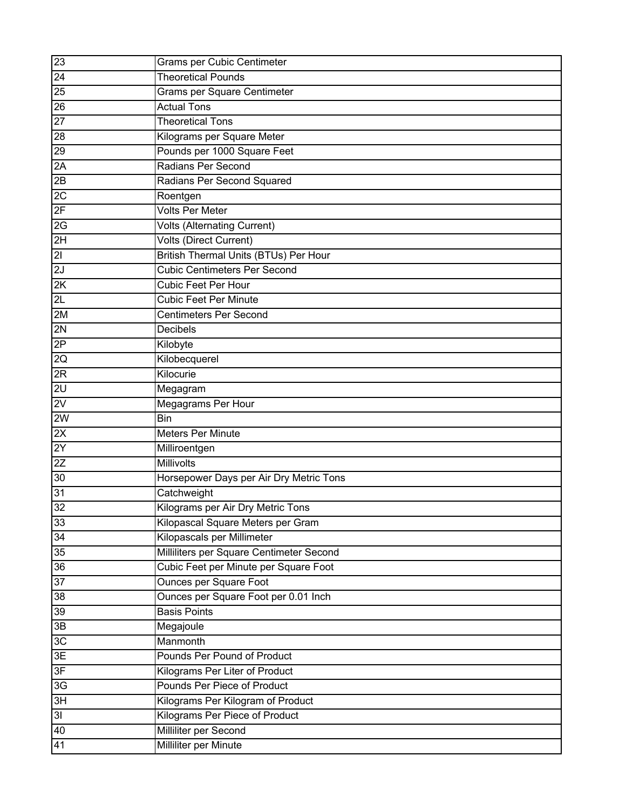| $\overline{23}$           | Grams per Cubic Centimeter                   |
|---------------------------|----------------------------------------------|
| 24                        | <b>Theoretical Pounds</b>                    |
| 25                        | Grams per Square Centimeter                  |
| $\overline{26}$           | <b>Actual Tons</b>                           |
| $\overline{27}$           | <b>Theoretical Tons</b>                      |
| 28                        | Kilograms per Square Meter                   |
| 29                        | Pounds per 1000 Square Feet                  |
| 2A                        | Radians Per Second                           |
| 2B                        | Radians Per Second Squared                   |
| 2C                        | Roentgen                                     |
| 2F                        | <b>Volts Per Meter</b>                       |
| 2G                        | <b>Volts (Alternating Current)</b>           |
| $\overline{2H}$           | <b>Volts (Direct Current)</b>                |
| $\overline{\overline{c}}$ | <b>British Thermal Units (BTUs) Per Hour</b> |
| 2J                        | <b>Cubic Centimeters Per Second</b>          |
| 2K                        | <b>Cubic Feet Per Hour</b>                   |
| 2L                        | <b>Cubic Feet Per Minute</b>                 |
| 2M                        | <b>Centimeters Per Second</b>                |
| 2N                        | <b>Decibels</b>                              |
| 2P                        | Kilobyte                                     |
| 2Q                        | Kilobecquerel                                |
| 2R                        | Kilocurie                                    |
| 2U                        | Megagram                                     |
| 2V                        | Megagrams Per Hour                           |
| 2W                        | <b>Bin</b>                                   |
| 2X                        | <b>Meters Per Minute</b>                     |
| 2Y                        | Milliroentgen                                |
| 2Z                        | Millivolts                                   |
| 30                        | Horsepower Days per Air Dry Metric Tons      |
| 31                        | Catchweight                                  |
| 32                        | Kilograms per Air Dry Metric Tons            |
| 33                        | Kilopascal Square Meters per Gram            |
| 34                        | Kilopascals per Millimeter                   |
| 35                        | Milliliters per Square Centimeter Second     |
| 36                        | Cubic Feet per Minute per Square Foot        |
| 37                        | <b>Ounces per Square Foot</b>                |
| 38                        | Ounces per Square Foot per 0.01 Inch         |
| 39                        | <b>Basis Points</b>                          |
| 3B                        | Megajoule                                    |
| 3C                        | Manmonth                                     |
| 3E                        | Pounds Per Pound of Product                  |
| 3F                        | Kilograms Per Liter of Product               |
| 3G                        | Pounds Per Piece of Product                  |
| 3H                        | Kilograms Per Kilogram of Product            |
| 3I                        | Kilograms Per Piece of Product               |
| 40                        | Milliliter per Second                        |
| 41                        | Milliliter per Minute                        |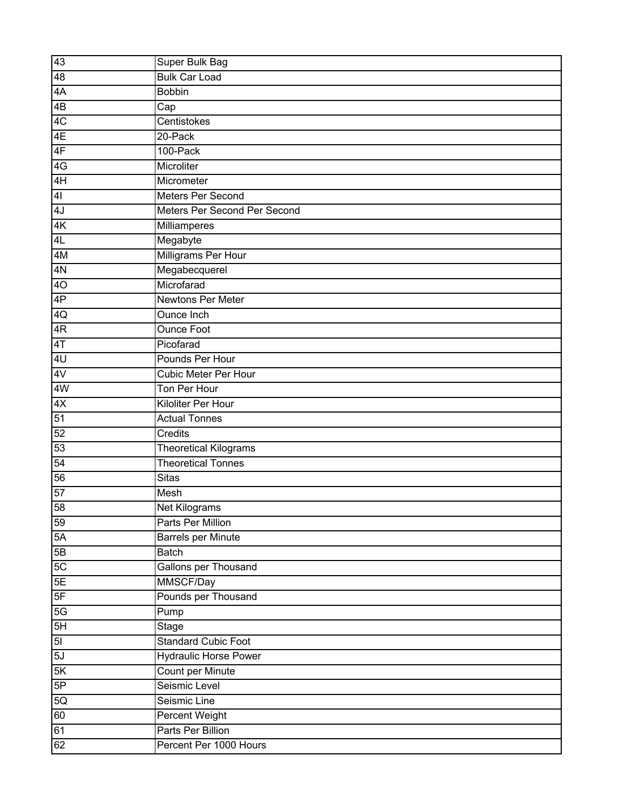| 43             | <b>Super Bulk Bag</b>        |
|----------------|------------------------------|
| 48             | <b>Bulk Car Load</b>         |
| 4A             | <b>Bobbin</b>                |
| 4B             | Cap                          |
| 4C             | Centistokes                  |
| 4E             | 20-Pack                      |
| 4F             | 100-Pack                     |
| 4G             | Microliter                   |
| 4H             | Micrometer                   |
| 4 <sub>l</sub> | Meters Per Second            |
| 4J             | Meters Per Second Per Second |
| 4K             | <b>Milliamperes</b>          |
| 4L             | Megabyte                     |
| 4M             | Milligrams Per Hour          |
| 4N             | Megabecquerel                |
| 4O             | Microfarad                   |
| 4P             | <b>Newtons Per Meter</b>     |
| 4Q             | Ounce Inch                   |
| 4R             | <b>Ounce Foot</b>            |
| 4T             | Picofarad                    |
| 4U             | Pounds Per Hour              |
| 4V             | <b>Cubic Meter Per Hour</b>  |
| 4W             | Ton Per Hour                 |
| 4X             | Kiloliter Per Hour           |
| 51             | <b>Actual Tonnes</b>         |
| 52             | Credits                      |
| 53             | Theoretical Kilograms        |
| 54             | <b>Theoretical Tonnes</b>    |
| 56             | <b>Sitas</b>                 |
| 57             | Mesh                         |
| 58             | Net Kilograms                |
| 59             | Parts Per Million            |
| 5A             | <b>Barrels per Minute</b>    |
| 5B             | <b>Batch</b>                 |
| 5C             | Gallons per Thousand         |
| 5E             | MMSCF/Day                    |
| 5F             | Pounds per Thousand          |
| 5G             | Pump                         |
| 5H             | Stage                        |
| 5 <sub>l</sub> | <b>Standard Cubic Foot</b>   |
| 5J             | <b>Hydraulic Horse Power</b> |
| 5K             | Count per Minute             |
| 5P             | Seismic Level                |
| 5Q             | Seismic Line                 |
| 60             | Percent Weight               |
| 61             | Parts Per Billion            |
| 62             | Percent Per 1000 Hours       |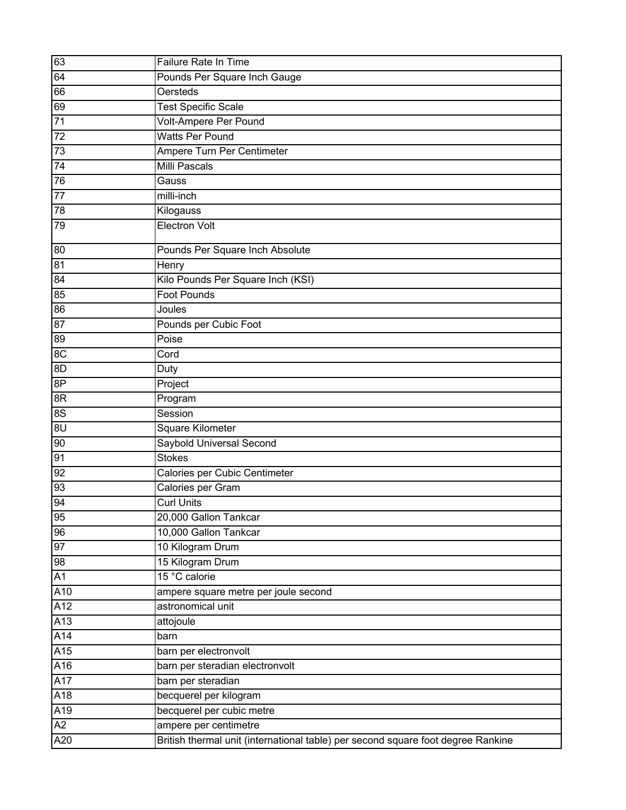| 63               | Failure Rate In Time                                                             |
|------------------|----------------------------------------------------------------------------------|
| 64               | Pounds Per Square Inch Gauge                                                     |
| 66               | <b>Oersteds</b>                                                                  |
| 69               | <b>Test Specific Scale</b>                                                       |
| 71               | Volt-Ampere Per Pound                                                            |
| 72               | <b>Watts Per Pound</b>                                                           |
| 73               | Ampere Turn Per Centimeter                                                       |
| 74               | <b>Milli Pascals</b>                                                             |
| 76               | Gauss                                                                            |
| $77\,$           | milli-inch                                                                       |
| 78               | Kilogauss                                                                        |
| 79               | <b>Electron Volt</b>                                                             |
| 80               | Pounds Per Square Inch Absolute                                                  |
| $\overline{81}$  | Henry                                                                            |
| 84               | Kilo Pounds Per Square Inch (KSI)                                                |
| 85               | <b>Foot Pounds</b>                                                               |
| $\overline{86}$  | Joules                                                                           |
| 87               | Pounds per Cubic Foot                                                            |
| 89               | Poise                                                                            |
| 8C               | Cord                                                                             |
| 8D               | Duty                                                                             |
| 8P               | Project                                                                          |
| 8R               | Program                                                                          |
| 8S               | Session                                                                          |
| $\overline{30}$  | Square Kilometer                                                                 |
| 90               | Saybold Universal Second                                                         |
| 91               | <b>Stokes</b>                                                                    |
| 92               | Calories per Cubic Centimeter                                                    |
| 93               | Calories per Gram                                                                |
| 94               | <b>Curl Units</b>                                                                |
| 95               | 20,000 Gallon Tankcar                                                            |
| 96               | 10,000 Gallon Tankcar                                                            |
| 97               | 10 Kilogram Drum                                                                 |
| 98               | 15 Kilogram Drum                                                                 |
| A1               | 15 °C calorie                                                                    |
| A10              | ampere square metre per joule second                                             |
| A12              | astronomical unit                                                                |
| A13              | attojoule                                                                        |
| A14              | barn                                                                             |
| $\overline{A15}$ | barn per electronvolt                                                            |
| A16              | barn per steradian electronvolt                                                  |
| A17              | barn per steradian                                                               |
| A18              | becquerel per kilogram                                                           |
| A19              | becquerel per cubic metre                                                        |
| $\overline{A2}$  | ampere per centimetre                                                            |
| A20              | British thermal unit (international table) per second square foot degree Rankine |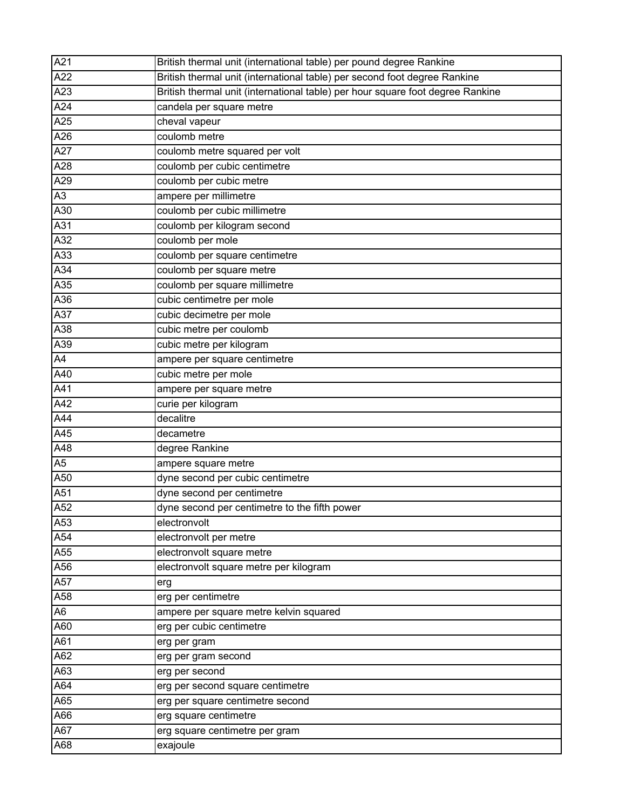| A21             | British thermal unit (international table) per pound degree Rankine            |
|-----------------|--------------------------------------------------------------------------------|
| A <sub>22</sub> | British thermal unit (international table) per second foot degree Rankine      |
| A23             | British thermal unit (international table) per hour square foot degree Rankine |
| A24             | candela per square metre                                                       |
| A25             | cheval vapeur                                                                  |
| A26             | coulomb metre                                                                  |
| A27             | coulomb metre squared per volt                                                 |
| A28             | coulomb per cubic centimetre                                                   |
| A29             | coulomb per cubic metre                                                        |
| A3              | ampere per millimetre                                                          |
| A30             | coulomb per cubic millimetre                                                   |
| A31             | coulomb per kilogram second                                                    |
| A32             | coulomb per mole                                                               |
| A33             | coulomb per square centimetre                                                  |
| A34             | coulomb per square metre                                                       |
| A35             | coulomb per square millimetre                                                  |
| A36             | cubic centimetre per mole                                                      |
| A37             | cubic decimetre per mole                                                       |
| A38             | cubic metre per coulomb                                                        |
| A39             | cubic metre per kilogram                                                       |
| A4              | ampere per square centimetre                                                   |
| A40             | cubic metre per mole                                                           |
| A41             | ampere per square metre                                                        |
| A42             | curie per kilogram                                                             |
| A44             | decalitre                                                                      |
| A45             | decametre                                                                      |
| A48             | degree Rankine                                                                 |
| A5              | ampere square metre                                                            |
| A50             | dyne second per cubic centimetre                                               |
| A51             | dyne second per centimetre                                                     |
| A52             | dyne second per centimetre to the fifth power                                  |
| A53             | electronvolt                                                                   |
| A54             | electronvolt per metre                                                         |
| A55             | electronvolt square metre                                                      |
| A56             | electronvolt square metre per kilogram                                         |
| A57             | erg                                                                            |
| A58             | erg per centimetre                                                             |
| A6              | ampere per square metre kelvin squared                                         |
| A60             | erg per cubic centimetre                                                       |
| A61             | erg per gram                                                                   |
| A62             | erg per gram second                                                            |
| A63             | erg per second                                                                 |
| A64             | erg per second square centimetre                                               |
| A65             | erg per square centimetre second                                               |
| A66             | erg square centimetre                                                          |
| A67             | erg square centimetre per gram                                                 |
| A68             | exajoule                                                                       |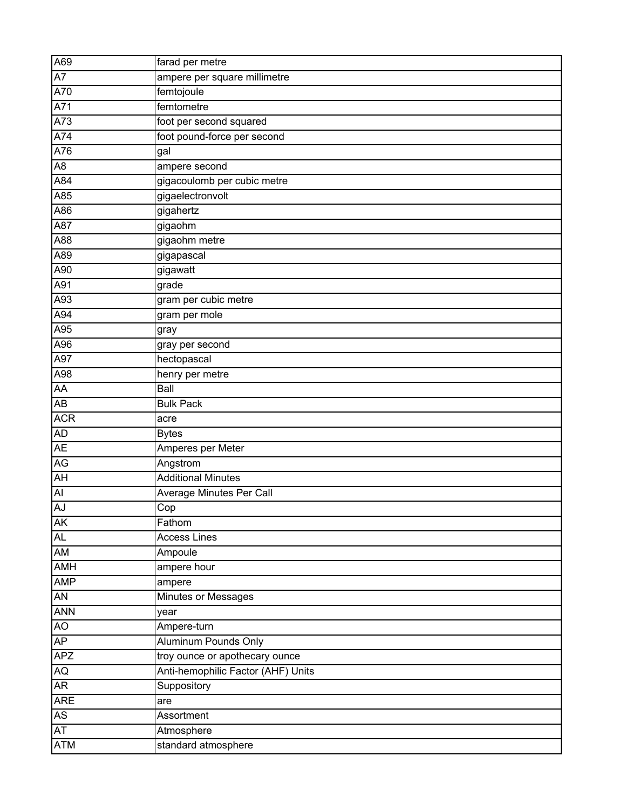| A69             | farad per metre                    |
|-----------------|------------------------------------|
| A7              | ampere per square millimetre       |
| A70             | femtojoule                         |
| A71             | femtometre                         |
| A73             | foot per second squared            |
| A74             | foot pound-force per second        |
| A76             | gal                                |
| $\overline{AB}$ | ampere second                      |
| A84             | gigacoulomb per cubic metre        |
| A85             | gigaelectronvolt                   |
| A86             | gigahertz                          |
| A87             | gigaohm                            |
| A88             | gigaohm metre                      |
| A89             | gigapascal                         |
| A90             | gigawatt                           |
| A91             | grade                              |
| A93             | gram per cubic metre               |
| A94             | gram per mole                      |
| A95             | gray                               |
| A96             | gray per second                    |
| A97             | hectopascal                        |
| A98             | henry per metre                    |
| AA              | Ball                               |
| AB              | <b>Bulk Pack</b>                   |
| <b>ACR</b>      | acre                               |
| <b>AD</b>       | <b>Bytes</b>                       |
| <b>AE</b>       | Amperes per Meter                  |
| AG              | Angstrom                           |
| <b>AH</b>       | <b>Additional Minutes</b>          |
| Al              | Average Minutes Per Call           |
| AJ              | Cop                                |
| <b>AK</b>       | Fathom                             |
| <b>AL</b>       | <b>Access Lines</b>                |
| <b>AM</b>       | Ampoule                            |
| AMH             | ampere hour                        |
| <b>AMP</b>      | ampere                             |
| <b>AN</b>       | <b>Minutes or Messages</b>         |
| <b>ANN</b>      | year                               |
| AO              | Ampere-turn                        |
| AP              | <b>Aluminum Pounds Only</b>        |
| <b>APZ</b>      | troy ounce or apothecary ounce     |
| <b>AQ</b>       | Anti-hemophilic Factor (AHF) Units |
| <b>AR</b>       | Suppository                        |
| <b>ARE</b>      | are                                |
| <b>AS</b>       | Assortment                         |
| <b>AT</b>       | Atmosphere                         |
| <b>ATM</b>      | standard atmosphere                |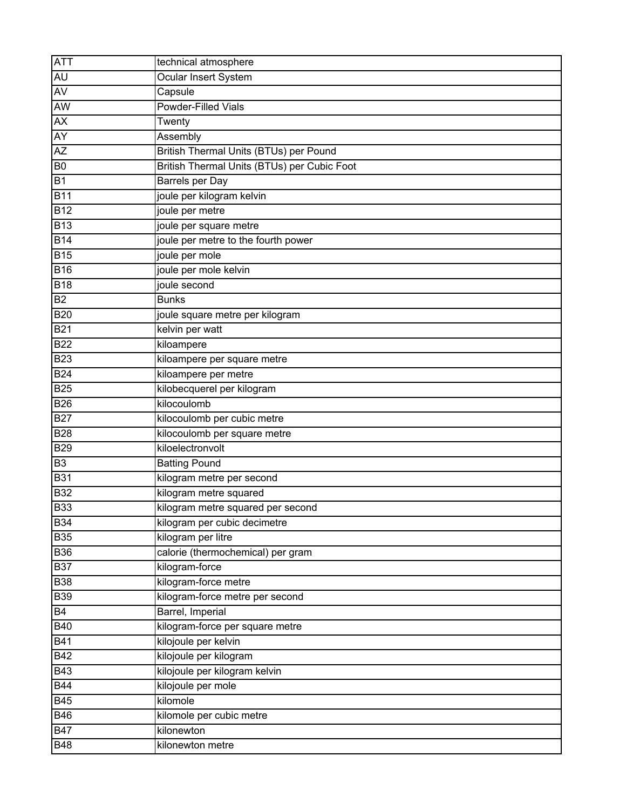| <b>ATT</b>     | technical atmosphere                        |
|----------------|---------------------------------------------|
| AU             | Ocular Insert System                        |
| <b>AV</b>      | Capsule                                     |
| <b>AW</b>      | <b>Powder-Filled Vials</b>                  |
| AX             | Twenty                                      |
| AY             | Assembly                                    |
| AZ             | British Thermal Units (BTUs) per Pound      |
| B <sub>0</sub> | British Thermal Units (BTUs) per Cubic Foot |
| <b>B1</b>      | <b>Barrels per Day</b>                      |
| <b>B11</b>     | joule per kilogram kelvin                   |
| <b>B12</b>     | joule per metre                             |
| <b>B13</b>     | joule per square metre                      |
| <b>B14</b>     | joule per metre to the fourth power         |
| <b>B15</b>     | joule per mole                              |
| <b>B16</b>     | joule per mole kelvin                       |
| <b>B18</b>     | joule second                                |
| <b>B2</b>      | <b>Bunks</b>                                |
| <b>B20</b>     | joule square metre per kilogram             |
| <b>B21</b>     | kelvin per watt                             |
| <b>B22</b>     | kiloampere                                  |
| <b>B23</b>     | kiloampere per square metre                 |
| <b>B24</b>     | kiloampere per metre                        |
| <b>B25</b>     | kilobecquerel per kilogram                  |
| <b>B26</b>     | kilocoulomb                                 |
| <b>B27</b>     | kilocoulomb per cubic metre                 |
| <b>B28</b>     | kilocoulomb per square metre                |
| <b>B29</b>     | kiloelectronvolt                            |
| B <sub>3</sub> | <b>Batting Pound</b>                        |
| <b>B31</b>     | kilogram metre per second                   |
| <b>B32</b>     | kilogram metre squared                      |
| <b>B33</b>     | kilogram metre squared per second           |
| <b>B34</b>     | kilogram per cubic decimetre                |
| <b>B35</b>     | kilogram per litre                          |
| <b>B36</b>     | calorie (thermochemical) per gram           |
| <b>B37</b>     | kilogram-force                              |
| <b>B38</b>     | kilogram-force metre                        |
| <b>B39</b>     | kilogram-force metre per second             |
| <b>B4</b>      | Barrel, Imperial                            |
| B40            | kilogram-force per square metre             |
| <b>B41</b>     | kilojoule per kelvin                        |
| B42            | kilojoule per kilogram                      |
| <b>B43</b>     | kilojoule per kilogram kelvin               |
| B44            | kilojoule per mole                          |
| <b>B45</b>     | kilomole                                    |
| <b>B46</b>     | kilomole per cubic metre                    |
| <b>B47</b>     | kilonewton                                  |
| <b>B48</b>     | kilonewton metre                            |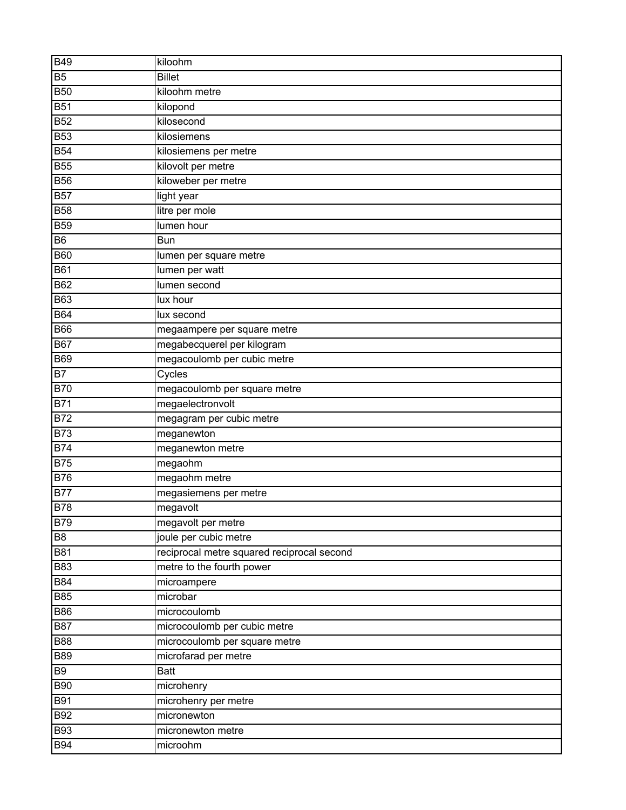| <b>B49</b>      | kiloohm                                    |
|-----------------|--------------------------------------------|
| <b>B5</b>       | <b>Billet</b>                              |
| <b>B50</b>      | kiloohm metre                              |
| <b>B51</b>      | kilopond                                   |
| <b>B52</b>      | kilosecond                                 |
| <b>B53</b>      | kilosiemens                                |
| <b>B54</b>      | kilosiemens per metre                      |
| <b>B55</b>      | kilovolt per metre                         |
| <b>B56</b>      | kiloweber per metre                        |
| <b>B57</b>      | light year                                 |
| <b>B58</b>      | litre per mole                             |
| <b>B59</b>      | lumen hour                                 |
| <b>B6</b>       | <b>Bun</b>                                 |
| <b>B60</b>      | lumen per square metre                     |
| <b>B61</b>      | lumen per watt                             |
| <b>B62</b>      | lumen second                               |
| <b>B63</b>      | lux hour                                   |
| <b>B64</b>      | lux second                                 |
| <b>B66</b>      | megaampere per square metre                |
| <b>B67</b>      | megabecquerel per kilogram                 |
| <b>B69</b>      | megacoulomb per cubic metre                |
| $\overline{B7}$ | Cycles                                     |
| <b>B70</b>      | megacoulomb per square metre               |
| <b>B71</b>      | megaelectronvolt                           |
| <b>B72</b>      | megagram per cubic metre                   |
| <b>B73</b>      | meganewton                                 |
| B74             | meganewton metre                           |
| <b>B75</b>      | $m$ egaohm                                 |
| <b>B76</b>      | megaohm metre                              |
| <b>B77</b>      | megasiemens per metre                      |
| <b>B78</b>      | megavolt                                   |
| <b>B79</b>      | megavolt per metre                         |
| B <sub>8</sub>  | joule per cubic metre                      |
| <b>B81</b>      | reciprocal metre squared reciprocal second |
| <b>B83</b>      | metre to the fourth power                  |
| <b>B84</b>      | microampere                                |
| <b>B85</b>      | microbar                                   |
| <b>B86</b>      | microcoulomb                               |
| <b>B87</b>      | microcoulomb per cubic metre               |
| <b>B88</b>      | microcoulomb per square metre              |
| <b>B89</b>      | microfarad per metre                       |
| <b>B9</b>       | Batt                                       |
| <b>B90</b>      | microhenry                                 |
| <b>B91</b>      | microhenry per metre                       |
| <b>B92</b>      | micronewton                                |
| <b>B93</b>      | micronewton metre                          |
| <b>B94</b>      | microohm                                   |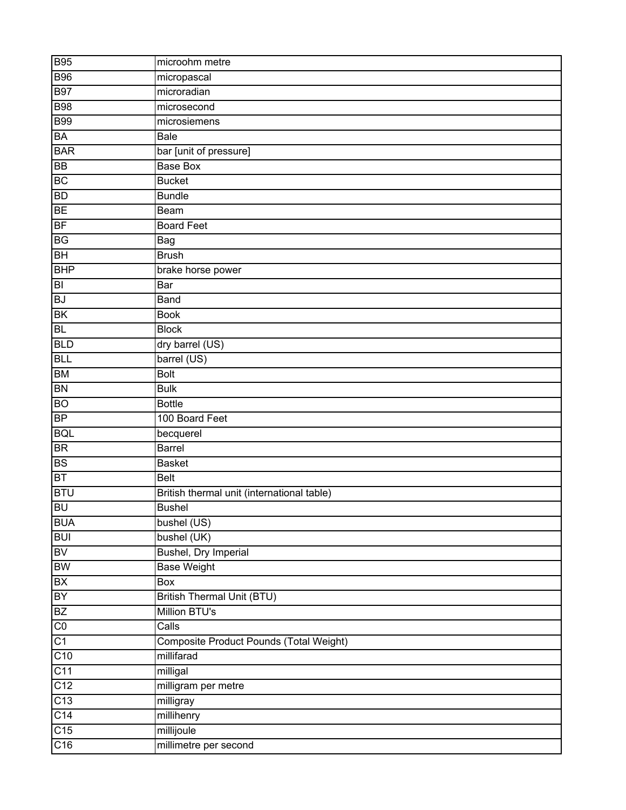| <b>B95</b>       | microohm metre                             |
|------------------|--------------------------------------------|
| <b>B96</b>       | micropascal                                |
| <b>B97</b>       | microradian                                |
| <b>B98</b>       | microsecond                                |
| <b>B99</b>       | microsiemens                               |
| BA               | Bale                                       |
| <b>BAR</b>       | bar [unit of pressure]                     |
| <b>BB</b>        | <b>Base Box</b>                            |
| BC               | <b>Bucket</b>                              |
| ${\sf BD}$       | <b>Bundle</b>                              |
| <b>BE</b>        | Beam                                       |
| <b>BF</b>        | <b>Board Feet</b>                          |
| BG               | Bag                                        |
| BH               | <b>Brush</b>                               |
| <b>BHP</b>       | brake horse power                          |
| B                | Bar                                        |
| <b>BJ</b>        | Band                                       |
| <b>BK</b>        | <b>Book</b>                                |
| <b>BL</b>        | <b>Block</b>                               |
| <b>BLD</b>       | dry barrel (US)                            |
| <b>BLL</b>       | barrel (US)                                |
| <b>BM</b>        | <b>Bolt</b>                                |
| <b>BN</b>        | <b>Bulk</b>                                |
| <b>BO</b>        | <b>Bottle</b>                              |
| <b>BP</b>        | 100 Board Feet                             |
| <b>BQL</b>       | becquerel                                  |
| <b>BR</b>        | Barrel                                     |
| <b>BS</b>        | <b>Basket</b>                              |
| <b>BT</b>        | <b>Belt</b>                                |
| <b>BTU</b>       | British thermal unit (international table) |
| <b>BU</b>        | <b>Bushel</b>                              |
| <b>BUA</b>       | bushel (US)                                |
| <b>BUI</b>       | bushel (UK)                                |
| <b>BV</b>        | <b>Bushel, Dry Imperial</b>                |
| BW               | <b>Base Weight</b>                         |
| <b>BX</b>        | Box                                        |
| BY               | <b>British Thermal Unit (BTU)</b>          |
| BZ               | Million BTU's                              |
| C <sub>0</sub>   | Calls                                      |
| C1               | Composite Product Pounds (Total Weight)    |
| C10              | millifarad                                 |
| $\overline{C11}$ | milligal                                   |
| C <sub>12</sub>  | milligram per metre                        |
| C13              | milligray                                  |
| C <sub>14</sub>  | millihenry                                 |
| $\overline{C15}$ | millijoule                                 |
| C16              | millimetre per second                      |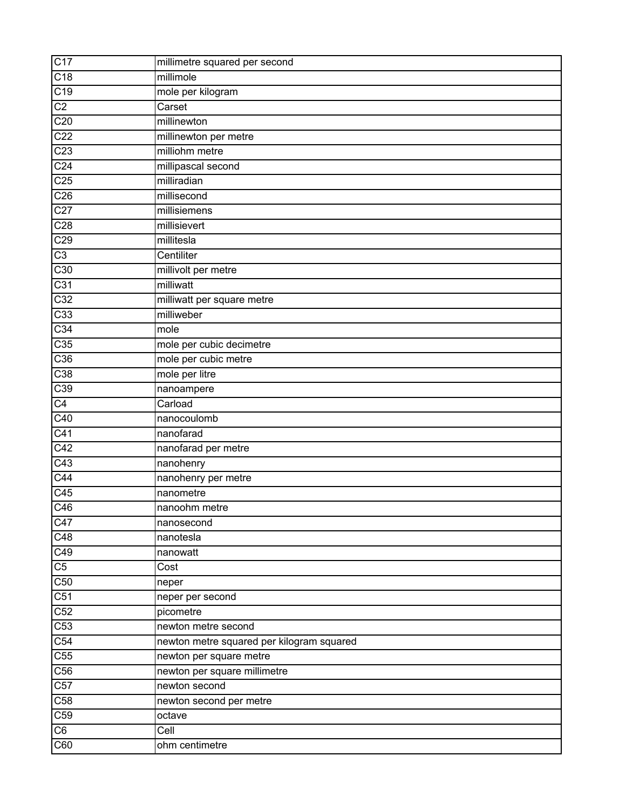| C17                     | millimetre squared per second             |
|-------------------------|-------------------------------------------|
| C18                     | millimole                                 |
| C19                     | mole per kilogram                         |
| C <sub>2</sub>          | Carset                                    |
| $\overline{C20}$        | millinewton                               |
| C <sub>22</sub>         | millinewton per metre                     |
| C <sub>23</sub>         | milliohm metre                            |
| C <sub>24</sub>         | millipascal second                        |
| C <sub>25</sub>         | milliradian                               |
| C <sub>26</sub>         | millisecond                               |
| C <sub>27</sub>         | millisiemens                              |
| C <sub>28</sub>         | millisievert                              |
| C29                     | millitesla                                |
| $\overline{C3}$         | Centiliter                                |
| C30                     | millivolt per metre                       |
| C <sub>31</sub>         | milliwatt                                 |
| C32                     | milliwatt per square metre                |
| C <sub>33</sub>         | milliweber                                |
| C <sub>34</sub>         | mole                                      |
| C35                     | mole per cubic decimetre                  |
| C36                     | mole per cubic metre                      |
| C38                     | mole per litre                            |
| C39                     | nanoampere                                |
| $\overline{C4}$         | Carload                                   |
| C40                     | nanocoulomb                               |
| C <sub>41</sub>         | nanofarad                                 |
| C42                     | nanofarad per metre                       |
| C43                     | nanohenry                                 |
| C44                     | nanohenry per metre                       |
| C45                     | nanometre                                 |
| $\overline{C46}$        | nanoohm metre                             |
| C47                     | nanosecond                                |
| C48                     | nanotesla                                 |
| C49                     | nanowatt                                  |
| $\overline{C5}$         | Cost                                      |
| $\overline{C50}$        | neper                                     |
| C51                     | neper per second                          |
| C52                     | picometre                                 |
| C53                     | newton metre second                       |
| C54                     | newton metre squared per kilogram squared |
| $\overline{\text{C55}}$ | newton per square metre                   |
| C <sub>56</sub>         | newton per square millimetre              |
| $\overline{C57}$        | newton second                             |
| C58                     | newton second per metre                   |
| C59                     | octave                                    |
| $\overline{\text{C6}}$  | Cell                                      |
| $\overline{C60}$        | ohm centimetre                            |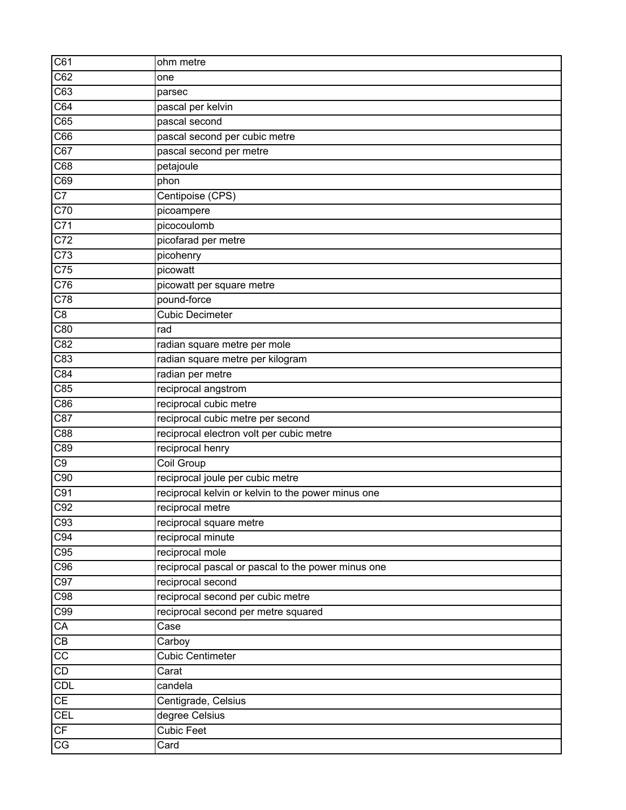| C61                    | ohm metre                                          |
|------------------------|----------------------------------------------------|
| C62                    | one                                                |
| C63                    | parsec                                             |
| $\overline{C64}$       | pascal per kelvin                                  |
| $\overline{C65}$       | pascal second                                      |
| C66                    | pascal second per cubic metre                      |
| C67                    | pascal second per metre                            |
| C68                    | petajoule                                          |
| C69                    | phon                                               |
| $\overline{C7}$        | Centipoise (CPS)                                   |
| C70                    | picoampere                                         |
| $\overline{C71}$       | picocoulomb                                        |
| $\overline{C72}$       | picofarad per metre                                |
| $\overline{C}$ 73      | picohenry                                          |
| $\overline{C75}$       | picowatt                                           |
| C76                    | picowatt per square metre                          |
| $\overline{C78}$       | pound-force                                        |
| $\overline{C8}$        | <b>Cubic Decimeter</b>                             |
| C80                    | rad                                                |
| C82                    | radian square metre per mole                       |
| C83                    | radian square metre per kilogram                   |
| C84                    | radian per metre                                   |
| $\overline{C85}$       | reciprocal angstrom                                |
| C86                    | reciprocal cubic metre                             |
| C87                    | reciprocal cubic metre per second                  |
| C88                    | reciprocal electron volt per cubic metre           |
| C89                    | reciprocal henry                                   |
| C9                     | <b>Coil Group</b>                                  |
| C90                    | reciprocal joule per cubic metre                   |
| C91                    | reciprocal kelvin or kelvin to the power minus one |
| C92                    | reciprocal metre                                   |
| C93                    | reciprocal square metre                            |
| C94                    | reciprocal minute                                  |
| C95                    | reciprocal mole                                    |
| C96                    | reciprocal pascal or pascal to the power minus one |
| C97                    | reciprocal second                                  |
| C98                    | reciprocal second per cubic metre                  |
| C99                    | reciprocal second per metre squared                |
| CA                     | Case                                               |
| $\overline{CB}$        | Carboy                                             |
| $\overline{cc}$        | <b>Cubic Centimeter</b>                            |
| CD                     | Carat                                              |
| CDL                    | candela                                            |
| CE                     | Centigrade, Celsius                                |
| CEL                    | degree Celsius                                     |
| CF                     | <b>Cubic Feet</b>                                  |
| $\overline{\text{CG}}$ | Card                                               |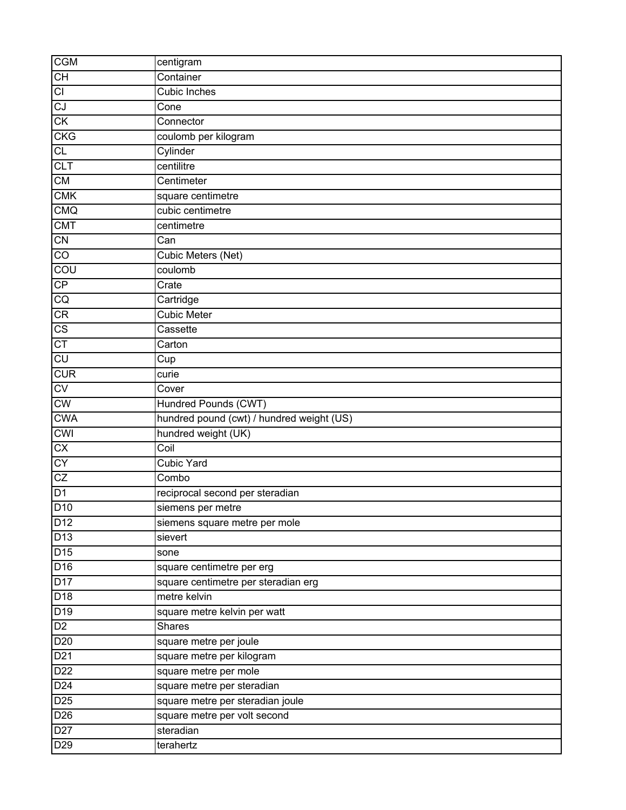| <b>CGM</b>             | centigram                                 |
|------------------------|-------------------------------------------|
| CH                     | Container                                 |
| CI                     | Cubic Inches                              |
| CJ                     | Cone                                      |
| CK                     | Connector                                 |
| <b>CKG</b>             | coulomb per kilogram                      |
| $\overline{CL}$        | Cylinder                                  |
| CLT                    | centilitre                                |
| CM                     | Centimeter                                |
| <b>CMK</b>             | square centimetre                         |
| <b>CMQ</b>             | cubic centimetre                          |
| <b>CMT</b>             | centimetre                                |
| CN                     | Can                                       |
| $\overline{C}$         | Cubic Meters (Net)                        |
| COU                    | coulomb                                   |
| CP                     | Crate                                     |
| CQ                     | Cartridge                                 |
| CR                     | <b>Cubic Meter</b>                        |
| $\overline{\text{CS}}$ | Cassette                                  |
| CT                     | Carton                                    |
| CU                     | Cup                                       |
| <b>CUR</b>             | curie                                     |
| CV                     | Cover                                     |
| CW                     | Hundred Pounds (CWT)                      |
| <b>CWA</b>             | hundred pound (cwt) / hundred weight (US) |
| <b>CWI</b>             | hundred weight (UK)                       |
| $\overline{CX}$        | Coil                                      |
| CY                     | <b>Cubic Yard</b>                         |
| CZ                     | Combo                                     |
| D <sub>1</sub>         | reciprocal second per steradian           |
| D <sub>10</sub>        | siemens per metre                         |
| D12                    | siemens square metre per mole             |
| D13                    | sievert                                   |
| D <sub>15</sub>        | sone                                      |
| D16                    | square centimetre per erg                 |
| D17                    | square centimetre per steradian erg       |
| D18                    | metre kelvin                              |
| D <sub>19</sub>        | square metre kelvin per watt              |
| D <sub>2</sub>         | Shares                                    |
| D20                    | square metre per joule                    |
| D21                    | square metre per kilogram                 |
| D <sub>22</sub>        | square metre per mole                     |
| D <sub>24</sub>        | square metre per steradian                |
| D25                    | square metre per steradian joule          |
| D <sub>26</sub>        | square metre per volt second              |
| D <sub>27</sub>        | steradian                                 |
| D29                    | terahertz                                 |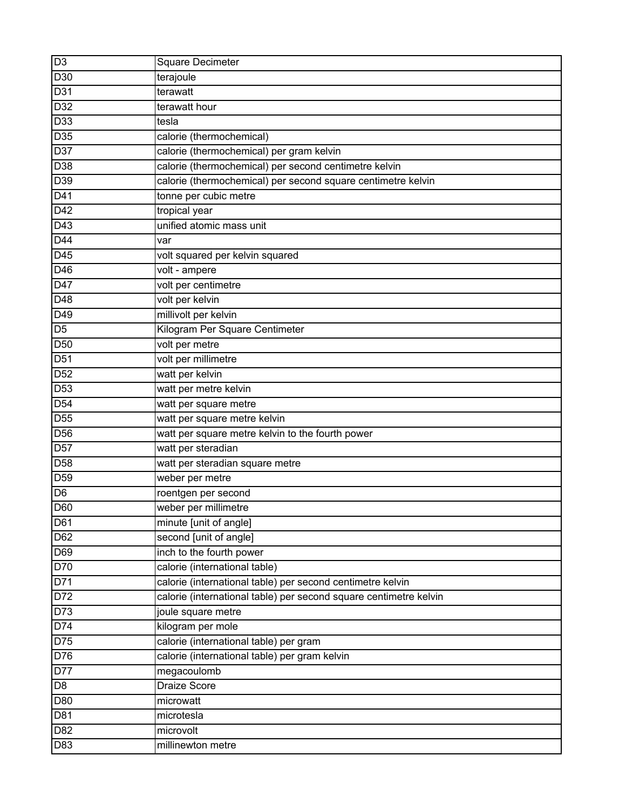| D <sub>3</sub>   | Square Decimeter                                                  |
|------------------|-------------------------------------------------------------------|
| D30              | terajoule                                                         |
| D31              | terawatt                                                          |
| D32              | terawatt hour                                                     |
| D33              | tesla                                                             |
| D35              | calorie (thermochemical)                                          |
| D37              | calorie (thermochemical) per gram kelvin                          |
| $\overline{D38}$ | calorie (thermochemical) per second centimetre kelvin             |
| D39              | calorie (thermochemical) per second square centimetre kelvin      |
| $D4\overline{1}$ | tonne per cubic metre                                             |
| D42              | tropical year                                                     |
| $\overline{D43}$ | unified atomic mass unit                                          |
| D44              | var                                                               |
| D45              | volt squared per kelvin squared                                   |
| D46              | volt - ampere                                                     |
| D47              | volt per centimetre                                               |
| D48              | volt per kelvin                                                   |
| D49              | millivolt per kelvin                                              |
| D <sub>5</sub>   | Kilogram Per Square Centimeter                                    |
| D <sub>50</sub>  | volt per metre                                                    |
| D <sub>51</sub>  | volt per millimetre                                               |
| D <sub>52</sub>  | watt per kelvin                                                   |
| D <sub>53</sub>  | watt per metre kelvin                                             |
| D <sub>54</sub>  | watt per square metre                                             |
| $\overline{D55}$ | watt per square metre kelvin                                      |
| $D\overline{56}$ | watt per square metre kelvin to the fourth power                  |
| D57              | watt per steradian                                                |
| D <sub>58</sub>  | watt per steradian square metre                                   |
| D <sub>59</sub>  | weber per metre                                                   |
| D <sub>6</sub>   | roentgen per second                                               |
| D60              | weber per millimetre                                              |
| D61              | minute [unit of angle]                                            |
| D62              | second [unit of angle]                                            |
| D69              | inch to the fourth power                                          |
| D70              | calorie (international table)                                     |
| D71              | calorie (international table) per second centimetre kelvin        |
| D72              | calorie (international table) per second square centimetre kelvin |
| D73              | joule square metre                                                |
| D74              | kilogram per mole                                                 |
| D75              | calorie (international table) per gram                            |
| D76              | calorie (international table) per gram kelvin                     |
| D77              | $m$ egacoulomb                                                    |
| D <sub>8</sub>   | <b>Draize Score</b>                                               |
| D80              | microwatt                                                         |
| D81              | microtesla                                                        |
| D82              | microvolt                                                         |
| D83              | millinewton metre                                                 |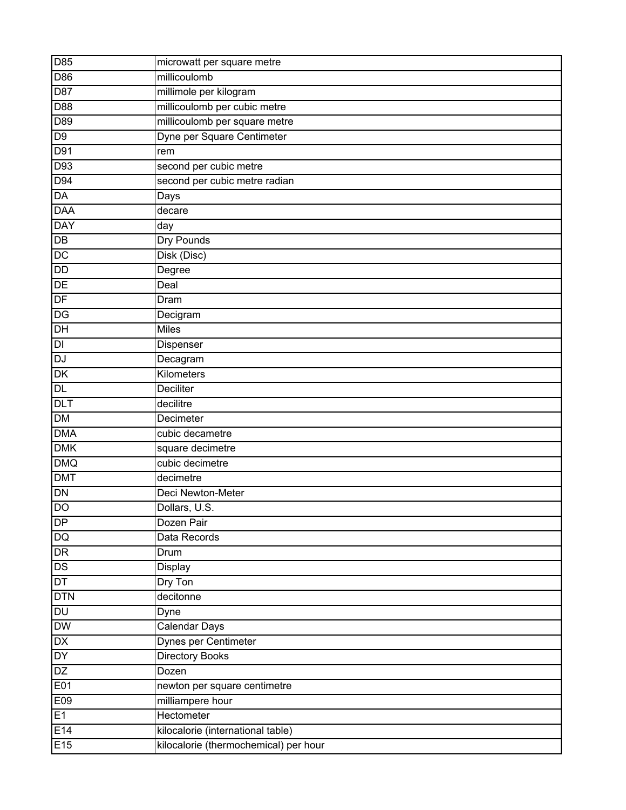| D85                    | microwatt per square metre            |
|------------------------|---------------------------------------|
| D86                    | millicoulomb                          |
| D87                    | millimole per kilogram                |
| D88                    | millicoulomb per cubic metre          |
| D89                    | millicoulomb per square metre         |
| D <sub>9</sub>         | Dyne per Square Centimeter            |
| D91                    | rem                                   |
| D93                    | second per cubic metre                |
| D94                    | second per cubic metre radian         |
| $\overline{DA}$        | Days                                  |
| <b>DAA</b>             | decare                                |
| <b>DAY</b>             | day                                   |
| DB                     | Dry Pounds                            |
| DC                     | Disk (Disc)                           |
| DD                     | Degree                                |
| DE                     | Deal                                  |
| DF                     | Dram                                  |
| DG                     | Decigram                              |
| DH                     | <b>Miles</b>                          |
| $\mathsf{D}\mathsf{I}$ | Dispenser                             |
| DJ                     | Decagram                              |
| DK                     | Kilometers                            |
| DL                     | Deciliter                             |
| <b>DLT</b>             | decilitre                             |
| <b>DM</b>              | Decimeter                             |
| <b>DMA</b>             | cubic decametre                       |
| <b>DMK</b>             | square decimetre                      |
| DMQ                    | cubic decimetre                       |
| <b>DMT</b>             | decimetre                             |
| DN                     | Deci Newton-Meter                     |
| <b>DO</b>              | Dollars, U.S.                         |
| DP                     | Dozen Pair                            |
| DQ                     | Data Records                          |
| DR                     | Drum                                  |
| DS                     | Display                               |
| DT                     | Dry Ton                               |
| <b>DTN</b>             | decitonne                             |
| <b>DU</b>              | Dyne                                  |
| <b>DW</b>              | Calendar Days                         |
| DX                     | Dynes per Centimeter                  |
| DY                     | <b>Directory Books</b>                |
| DZ                     | Dozen                                 |
| E01                    | newton per square centimetre          |
| E09                    | milliampere hour                      |
| E1                     | Hectometer                            |
| E14                    | kilocalorie (international table)     |
| E15                    | kilocalorie (thermochemical) per hour |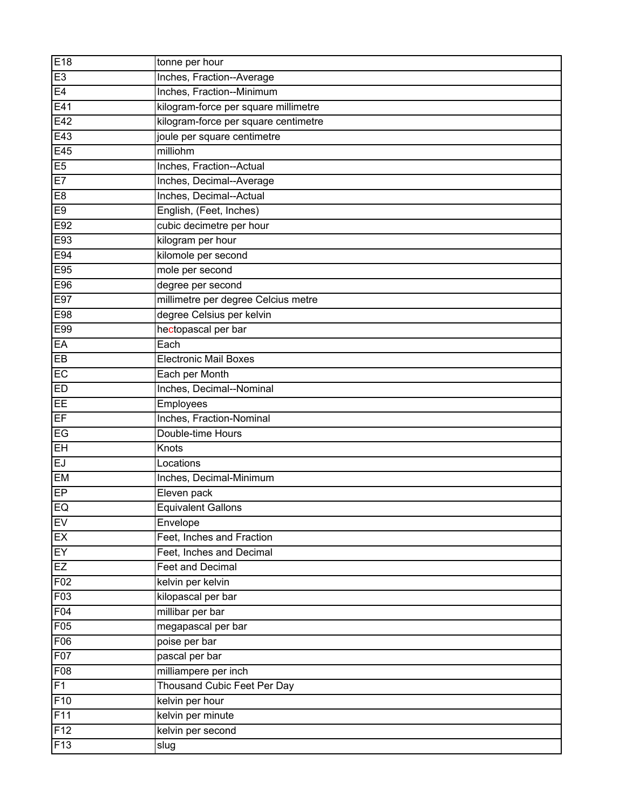| E18            | tonne per hour                       |
|----------------|--------------------------------------|
| E <sub>3</sub> | Inches, Fraction--Average            |
| E4             | Inches, Fraction--Minimum            |
| E41            | kilogram-force per square millimetre |
| E42            | kilogram-force per square centimetre |
| E43            | joule per square centimetre          |
| E45            | milliohm                             |
| E5             | Inches, Fraction--Actual             |
| E7             | Inches, Decimal--Average             |
| E <sub>8</sub> | Inches, Decimal--Actual              |
| E <sub>9</sub> | English, (Feet, Inches)              |
| E92            | cubic decimetre per hour             |
| E93            | kilogram per hour                    |
| E94            | kilomole per second                  |
| E95            | mole per second                      |
| E96            | degree per second                    |
| E97            | millimetre per degree Celcius metre  |
| E98            | degree Celsius per kelvin            |
| E99            | hectopascal per bar                  |
| EA             | Each                                 |
| EB             | <b>Electronic Mail Boxes</b>         |
| EC             | Each per Month                       |
| ED             | Inches, Decimal--Nominal             |
| EE             | Employees                            |
| EF             | Inches, Fraction-Nominal             |
| E              | Double-time Hours                    |
| EH             | Knots                                |
| EJ             | Locations                            |
| <b>EM</b>      | Inches, Decimal-Minimum              |
| $E$ P          | Eleven pack                          |
| EQ             | <b>Equivalent Gallons</b>            |
| EV             | Envelope                             |
| EX             | Feet, Inches and Fraction            |
| EY             | Feet, Inches and Decimal             |
| EZ             | <b>Feet and Decimal</b>              |
| F02            | kelvin per kelvin                    |
| F03            | kilopascal per bar                   |
| F04            | millibar per bar                     |
| F05            | megapascal per bar                   |
| F06            | poise per bar                        |
| F07            | pascal per bar                       |
| F08            | milliampere per inch                 |
| F1             | <b>Thousand Cubic Feet Per Day</b>   |
| F10            | kelvin per hour                      |
| F11            | kelvin per minute                    |
| F12            | kelvin per second                    |
| F13            | slug                                 |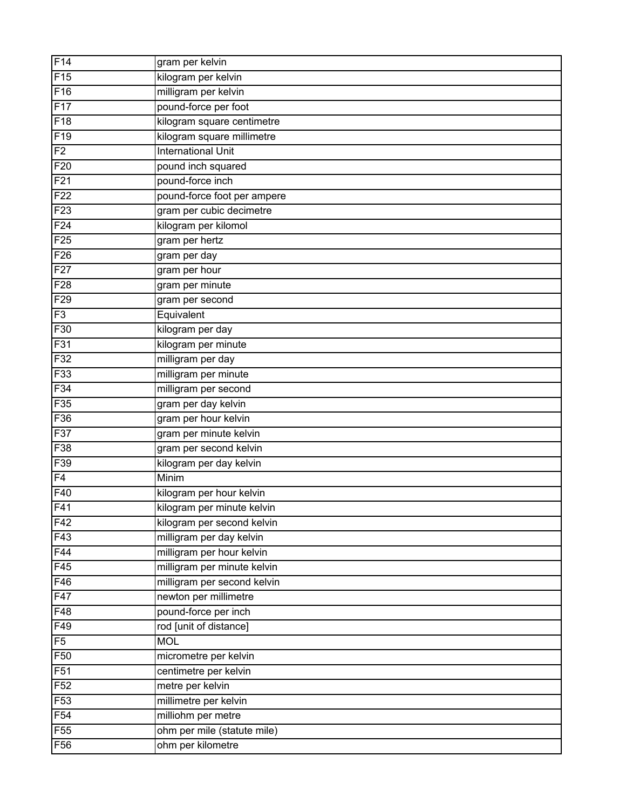| F14              | gram per kelvin             |
|------------------|-----------------------------|
| F15              | kilogram per kelvin         |
| F16              | milligram per kelvin        |
| F17              | pound-force per foot        |
| $\overline{F18}$ | kilogram square centimetre  |
| F <sub>19</sub>  | kilogram square millimetre  |
| F2               | <b>International Unit</b>   |
| F20              | pound inch squared          |
| F <sub>21</sub>  | pound-force inch            |
| F <sub>22</sub>  | pound-force foot per ampere |
| F23              | gram per cubic decimetre    |
| F24              | kilogram per kilomol        |
| F25              | gram per hertz              |
| F <sub>26</sub>  | gram per day                |
| F27              | gram per hour               |
| F28              | gram per minute             |
| F <sub>29</sub>  | gram per second             |
| F3               | Equivalent                  |
| F30              | kilogram per day            |
| F31              | kilogram per minute         |
| F32              | milligram per day           |
| F33              | milligram per minute        |
| F34              | milligram per second        |
| F35              | gram per day kelvin         |
| F36              | gram per hour kelvin        |
| F37              | gram per minute kelvin      |
| F38              | gram per second kelvin      |
| F39              | kilogram per day kelvin     |
| F4               | Minim                       |
| F40              | kilogram per hour kelvin    |
| F41              | kilogram per minute kelvin  |
| F42              | kilogram per second kelvin  |
| F43              | milligram per day kelvin    |
| F44              | milligram per hour kelvin   |
| F45              | milligram per minute kelvin |
| F46              | milligram per second kelvin |
| F47              | newton per millimetre       |
| F48              | pound-force per inch        |
| F49              | rod [unit of distance]      |
| F5               | <b>MOL</b>                  |
| F <sub>50</sub>  | micrometre per kelvin       |
| F51              | centimetre per kelvin       |
| F52              | metre per kelvin            |
| F53              | millimetre per kelvin       |
| F <sub>54</sub>  | milliohm per metre          |
| F <sub>55</sub>  | ohm per mile (statute mile) |
| F56              | ohm per kilometre           |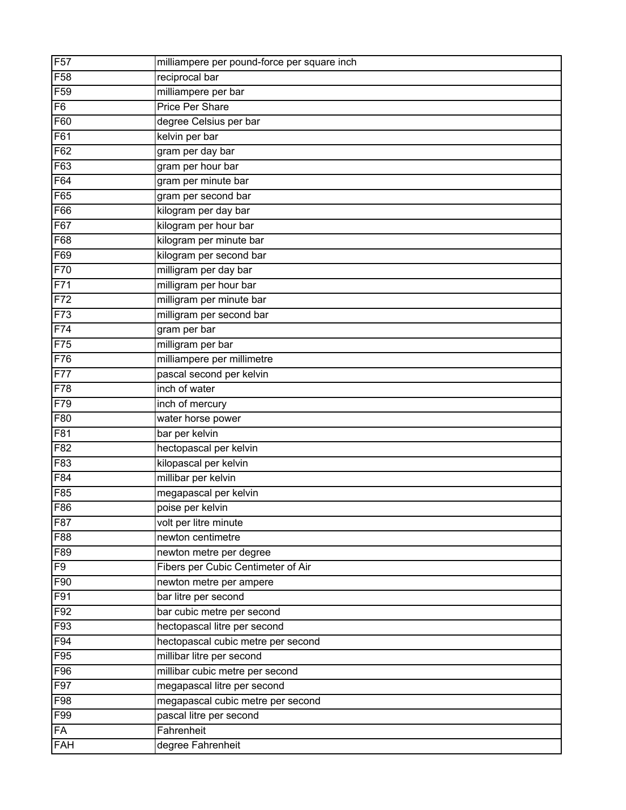| F <sub>57</sub> | milliampere per pound-force per square inch |
|-----------------|---------------------------------------------|
| F58             | reciprocal bar                              |
| F <sub>59</sub> | milliampere per bar                         |
| F <sub>6</sub>  | <b>Price Per Share</b>                      |
| F60             | degree Celsius per bar                      |
| F61             | kelvin per bar                              |
| F62             | gram per day bar                            |
| F63             | gram per hour bar                           |
| F64             | gram per minute bar                         |
| F65             | gram per second bar                         |
| F66             | kilogram per day bar                        |
| F67             | kilogram per hour bar                       |
| F68             | kilogram per minute bar                     |
| F69             | kilogram per second bar                     |
| F70             | milligram per day bar                       |
| F71             | milligram per hour bar                      |
| F72             | milligram per minute bar                    |
| F73             | milligram per second bar                    |
| F74             | gram per bar                                |
| F75             | milligram per bar                           |
| F76             | milliampere per millimetre                  |
| F77             | pascal second per kelvin                    |
| F78             | inch of water                               |
| F79             | inch of mercury                             |
| F80             | water horse power                           |
| F81             | bar per kelvin                              |
| F82             | hectopascal per kelvin                      |
| F83             | kilopascal per kelvin                       |
| F84             | millibar per kelvin                         |
| F85             | megapascal per kelvin                       |
| F86             | poise per kelvin                            |
| F87             | volt per litre minute                       |
| F88             | newton centimetre                           |
| F89             | newton metre per degree                     |
| F <sub>9</sub>  | Fibers per Cubic Centimeter of Air          |
| F90             | newton metre per ampere                     |
| F91             | bar litre per second                        |
| F92             | bar cubic metre per second                  |
| F93             | hectopascal litre per second                |
| F94             | hectopascal cubic metre per second          |
| F95             | millibar litre per second                   |
| F96             | millibar cubic metre per second             |
| F97             | megapascal litre per second                 |
| F98             | megapascal cubic metre per second           |
| F99             | pascal litre per second                     |
| <b>FA</b>       | Fahrenheit                                  |
| FAH             | degree Fahrenheit                           |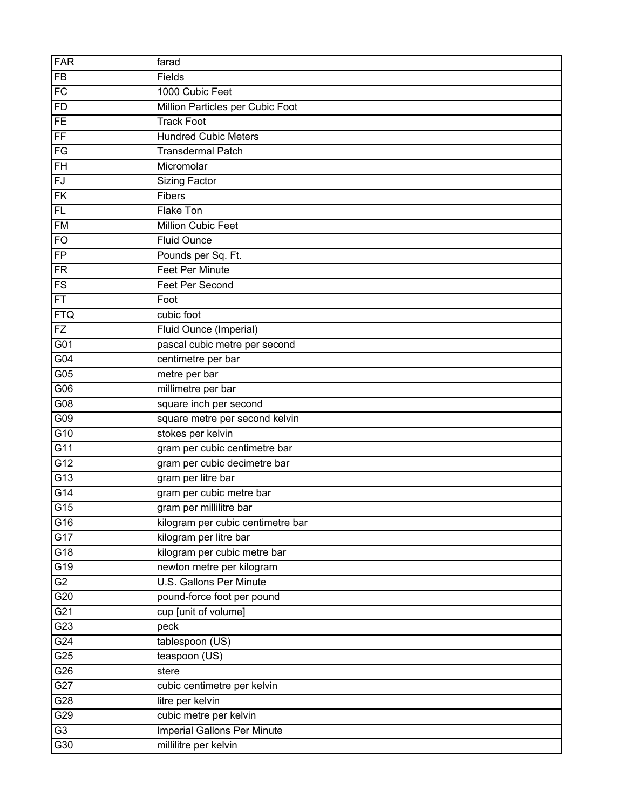| FAR                               | farad                              |
|-----------------------------------|------------------------------------|
| <b>FB</b>                         | Fields                             |
| FC                                | 1000 Cubic Feet                    |
| FD                                | Million Particles per Cubic Foot   |
| FE                                | <b>Track Foot</b>                  |
| $F_{\text{F}}$                    | <b>Hundred Cubic Meters</b>        |
| $\overline{\mathsf{F}\mathsf{G}}$ | <b>Transdermal Patch</b>           |
| $\overline{\mathsf{FH}}$          | Micromolar                         |
| FJ                                | <b>Sizing Factor</b>               |
| <b>FK</b>                         | Fibers                             |
| FL                                | Flake Ton                          |
| <b>FM</b>                         | Million Cubic Feet                 |
| FO                                | <b>Fluid Ounce</b>                 |
| FP                                | Pounds per Sq. Ft.                 |
| FR                                | <b>Feet Per Minute</b>             |
| FS                                | Feet Per Second                    |
| FT                                | Foot                               |
| FTQ                               | cubic foot                         |
| FZ                                | Fluid Ounce (Imperial)             |
| G01                               | pascal cubic metre per second      |
| G04                               | centimetre per bar                 |
| G05                               | metre per bar                      |
| G06                               | millimetre per bar                 |
| G08                               | square inch per second             |
| G09                               | square metre per second kelvin     |
| G10                               | stokes per kelvin                  |
| $\overline{G11}$                  | gram per cubic centimetre bar      |
| G12                               | gram per cubic decimetre bar       |
| $\overline{G13}$                  | gram per litre bar                 |
| G14                               | gram per cubic metre bar           |
| $\overline{G15}$                  | gram per millilitre bar            |
| G16                               | kilogram per cubic centimetre bar  |
| G17                               | kilogram per litre bar             |
| G18                               | kilogram per cubic metre bar       |
| G19                               | newton metre per kilogram          |
| $\overline{G2}$                   | <b>U.S. Gallons Per Minute</b>     |
| G20                               | pound-force foot per pound         |
| G21                               | cup [unit of volume]               |
| $\overline{G23}$                  | peck                               |
| G24                               | tablespoon (US)                    |
| G25                               | teaspoon (US)                      |
| G26                               | stere                              |
| $\overline{G27}$                  | cubic centimetre per kelvin        |
| G28                               | litre per kelvin                   |
| G29                               | cubic metre per kelvin             |
| $\overline{G3}$                   | <b>Imperial Gallons Per Minute</b> |
| $\overline{G30}$                  | millilitre per kelvin              |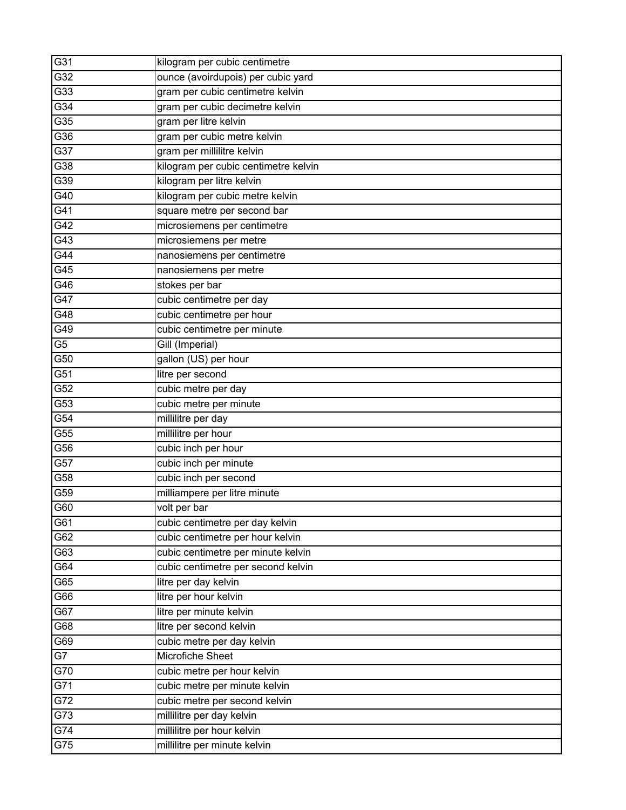| G31              | kilogram per cubic centimetre        |
|------------------|--------------------------------------|
| G32              | ounce (avoirdupois) per cubic yard   |
| G33              | gram per cubic centimetre kelvin     |
| $\overline{G34}$ | gram per cubic decimetre kelvin      |
| $\overline{G}35$ | gram per litre kelvin                |
| G36              | gram per cubic metre kelvin          |
| $\overline{G37}$ | gram per millilitre kelvin           |
| $\overline{G38}$ | kilogram per cubic centimetre kelvin |
| G39              | kilogram per litre kelvin            |
| G40              | kilogram per cubic metre kelvin      |
| G41              | square metre per second bar          |
| $\overline{G42}$ | microsiemens per centimetre          |
| G43              | microsiemens per metre               |
| G44              | nanosiemens per centimetre           |
| $\overline{G45}$ | nanosiemens per metre                |
| G46              | stokes per bar                       |
| $\overline{G47}$ | cubic centimetre per day             |
| G48              | cubic centimetre per hour            |
| G49              | cubic centimetre per minute          |
| $\overline{G5}$  | Gill (Imperial)                      |
| G50              | gallon (US) per hour                 |
| $\overline{G51}$ | litre per second                     |
| G52              | cubic metre per day                  |
| G53              | cubic metre per minute               |
| G54              | millilitre per day                   |
| $\overline{G55}$ | millilitre per hour                  |
| G56              | cubic inch per hour                  |
| G57              | cubic inch per minute                |
| G58              | cubic inch per second                |
| G59              | milliampere per litre minute         |
| G60              | volt per bar                         |
| G61              | cubic centimetre per day kelvin      |
| G62              | cubic centimetre per hour kelvin     |
| G63              | cubic centimetre per minute kelvin   |
| G64              | cubic centimetre per second kelvin   |
| G65              | litre per day kelvin                 |
| G66              | litre per hour kelvin                |
| G67              | litre per minute kelvin              |
| G68              | litre per second kelvin              |
| G69              | cubic metre per day kelvin           |
| $\overline{G7}$  | <b>Microfiche Sheet</b>              |
| G70              | cubic metre per hour kelvin          |
| G71              | cubic metre per minute kelvin        |
| G72              | cubic metre per second kelvin        |
| G73              | millilitre per day kelvin            |
| G74              | millilitre per hour kelvin           |
| G75              | millilitre per minute kelvin         |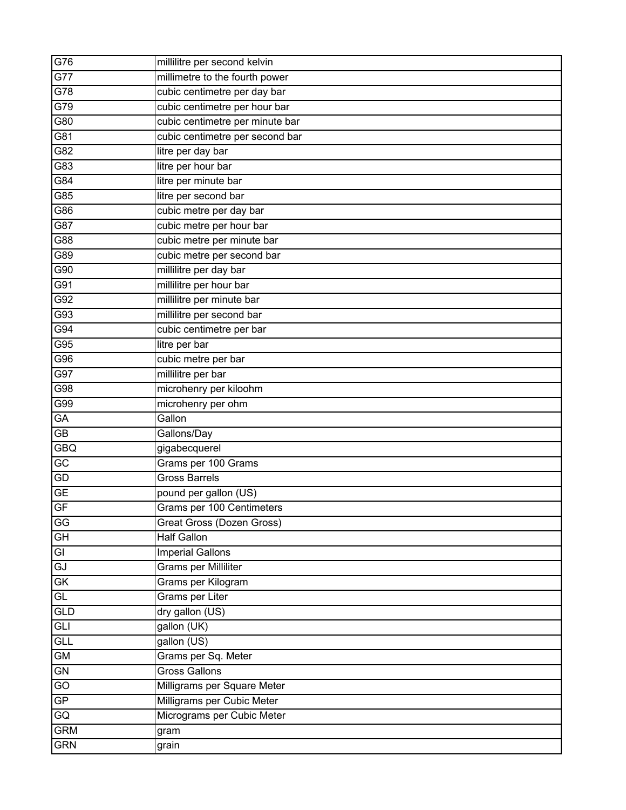| G76                                 | millilitre per second kelvin    |
|-------------------------------------|---------------------------------|
| G77                                 | millimetre to the fourth power  |
| G78                                 | cubic centimetre per day bar    |
| G79                                 | cubic centimetre per hour bar   |
| $\overline{G80}$                    | cubic centimetre per minute bar |
| G81                                 | cubic centimetre per second bar |
| G82                                 | litre per day bar               |
| $\overline{G83}$                    | litre per hour bar              |
| G84                                 | litre per minute bar            |
| G85                                 | litre per second bar            |
| G86                                 | cubic metre per day bar         |
| $\overline{G87}$                    | cubic metre per hour bar        |
| G88                                 | cubic metre per minute bar      |
| G89                                 | cubic metre per second bar      |
| G90                                 | millilitre per day bar          |
| G91                                 | millilitre per hour bar         |
| G92                                 | millilitre per minute bar       |
| G93                                 | millilitre per second bar       |
| G94                                 | cubic centimetre per bar        |
| $G\overline{95}$                    | litre per bar                   |
| G96                                 | cubic metre per bar             |
| $\overline{G97}$                    | millilitre per bar              |
| $\overline{G98}$                    | microhenry per kiloohm          |
| G99                                 | microhenry per ohm              |
| $\overline{GA}$                     | Gallon                          |
| $\overline{GB}$                     | Gallons/Day                     |
| <b>GBQ</b>                          | gigabecquerel                   |
| GC                                  | Grams per 100 Grams             |
| GD                                  | <b>Gross Barrels</b>            |
| GE                                  | pound per gallon (US)           |
| $\overline{\mathsf{GF}}$            | Grams per 100 Centimeters       |
| GG                                  | Great Gross (Dozen Gross)       |
| $\overline{\overline{\mathsf{GH}}}$ | <b>Half Gallon</b>              |
| GI                                  | <b>Imperial Gallons</b>         |
| GJ                                  | Grams per Milliliter            |
| GK                                  | Grams per Kilogram              |
| GL                                  | <b>Grams per Liter</b>          |
| GLD                                 | dry gallon (US)                 |
| GLI                                 | gallon (UK)                     |
| GLL                                 | gallon (US)                     |
| GM                                  | Grams per Sq. Meter             |
| GN                                  | <b>Gross Gallons</b>            |
| $\overline{GO}$                     | Milligrams per Square Meter     |
| $\overline{\text{GP}}$              | Milligrams per Cubic Meter      |
| GQ                                  | Micrograms per Cubic Meter      |
| <b>GRM</b>                          | gram                            |
| <b>GRN</b>                          | grain                           |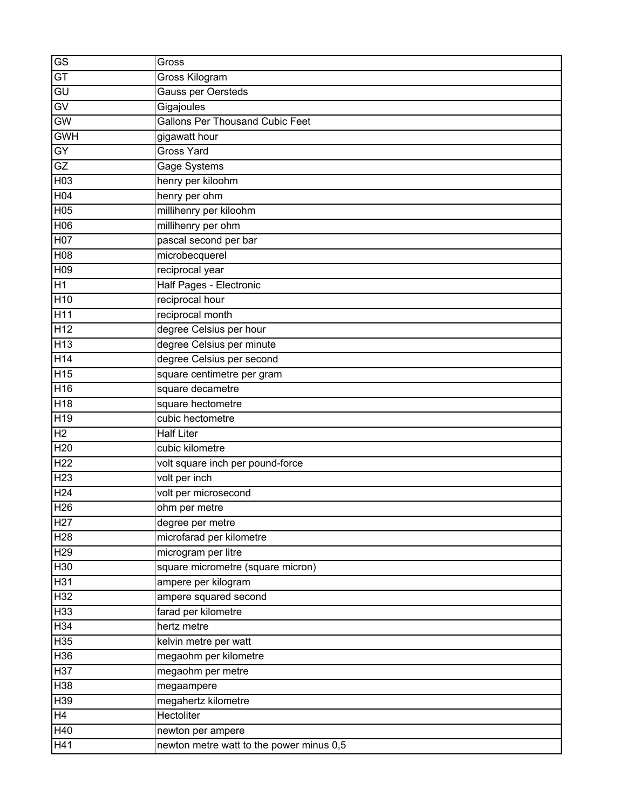| GS                          | Gross                                    |
|-----------------------------|------------------------------------------|
| $\overline{GT}$             | Gross Kilogram                           |
| GU                          | Gauss per Oersteds                       |
| GV                          | Gigajoules                               |
| GW                          | <b>Gallons Per Thousand Cubic Feet</b>   |
| <b>GWH</b>                  | gigawatt hour                            |
| GY                          | <b>Gross Yard</b>                        |
| GZ                          | Gage Systems                             |
| H <sub>03</sub>             | henry per kiloohm                        |
| H04                         | henry per ohm                            |
| H <sub>05</sub>             | millihenry per kiloohm                   |
| H <sub>0</sub> <sup>6</sup> | millihenry per ohm                       |
| H07                         | pascal second per bar                    |
| H08                         | microbecquerel                           |
| H <sub>09</sub>             | reciprocal year                          |
| <b>H1</b>                   | Half Pages - Electronic                  |
| H <sub>10</sub>             | reciprocal hour                          |
| H <sub>11</sub>             | reciprocal month                         |
| H12                         | degree Celsius per hour                  |
| H <sub>13</sub>             | degree Celsius per minute                |
| H <sub>14</sub>             | degree Celsius per second                |
| H15                         | square centimetre per gram               |
| H <sub>16</sub>             | square decametre                         |
| H <sub>18</sub>             | square hectometre                        |
| H <sub>19</sub>             | cubic hectometre                         |
| H <sub>2</sub>              | <b>Half Liter</b>                        |
| H <sub>20</sub>             | cubic kilometre                          |
| H <sub>22</sub>             | volt square inch per pound-force         |
| H <sub>23</sub>             | volt per inch                            |
| H <sub>24</sub>             | volt per microsecond                     |
| H <sub>26</sub>             | ohm per metre                            |
| H <sub>27</sub>             | degree per metre                         |
| H28                         | microfarad per kilometre                 |
| H <sub>29</sub>             | microgram per litre                      |
| H30                         | square micrometre (square micron)        |
| H <sub>31</sub>             | ampere per kilogram                      |
| H32                         | ampere squared second                    |
| H33                         | farad per kilometre                      |
| H34                         | hertz metre                              |
| H <sub>35</sub>             | kelvin metre per watt                    |
| H36                         | megaohm per kilometre                    |
| H37                         | megaohm per metre                        |
| H <sub>38</sub>             | megaampere                               |
| H39                         | megahertz kilometre                      |
| H4                          | Hectoliter                               |
| H40                         | newton per ampere                        |
| H41                         | newton metre watt to the power minus 0,5 |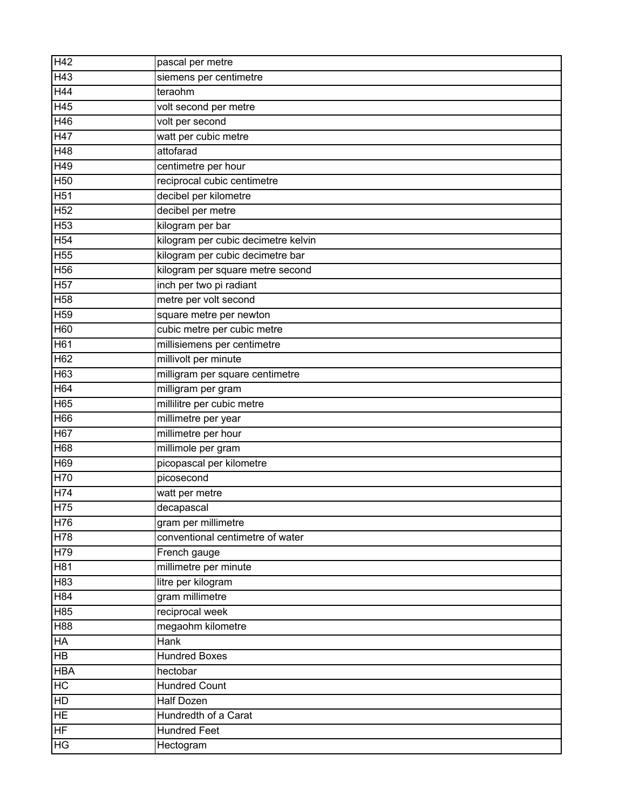| H42             | pascal per metre                    |
|-----------------|-------------------------------------|
| H43             | siemens per centimetre              |
| H44             | teraohm                             |
| H45             | volt second per metre               |
| H46             | volt per second                     |
| H47             | watt per cubic metre                |
| H48             | attofarad                           |
| H49             | centimetre per hour                 |
| H <sub>50</sub> | reciprocal cubic centimetre         |
| H <sub>51</sub> | decibel per kilometre               |
| H <sub>52</sub> | decibel per metre                   |
| H <sub>53</sub> | kilogram per bar                    |
| H <sub>54</sub> | kilogram per cubic decimetre kelvin |
| H <sub>55</sub> | kilogram per cubic decimetre bar    |
| H <sub>56</sub> | kilogram per square metre second    |
| H <sub>57</sub> | inch per two pi radiant             |
| H <sub>58</sub> | metre per volt second               |
| H <sub>59</sub> | square metre per newton             |
| H60             | cubic metre per cubic metre         |
| H61             | millisiemens per centimetre         |
| H62             | millivolt per minute                |
| H <sub>63</sub> | milligram per square centimetre     |
| H64             | milligram per gram                  |
| H65             | millilitre per cubic metre          |
| H66             | millimetre per year                 |
| H <sub>67</sub> | millimetre per hour                 |
| H68             | millimole per gram                  |
| H69             | picopascal per kilometre            |
| H70             | picosecond                          |
| H74             | watt per metre                      |
| H75             | decapascal                          |
| H76             | gram per millimetre                 |
| H78             | conventional centimetre of water    |
| H79             | French gauge                        |
| H <sub>81</sub> | millimetre per minute               |
| H83             | litre per kilogram                  |
| H84             | gram millimetre                     |
| H85             | reciprocal week                     |
| H88             | megaohm kilometre                   |
| HA              | <b>Hank</b>                         |
| H <sub>B</sub>  | <b>Hundred Boxes</b>                |
| <b>HBA</b>      | hectobar                            |
| HC              | <b>Hundred Count</b>                |
| HD              | <b>Half Dozen</b>                   |
| HE              | Hundredth of a Carat                |
| HF              | <b>Hundred Feet</b>                 |
| HG              | Hectogram                           |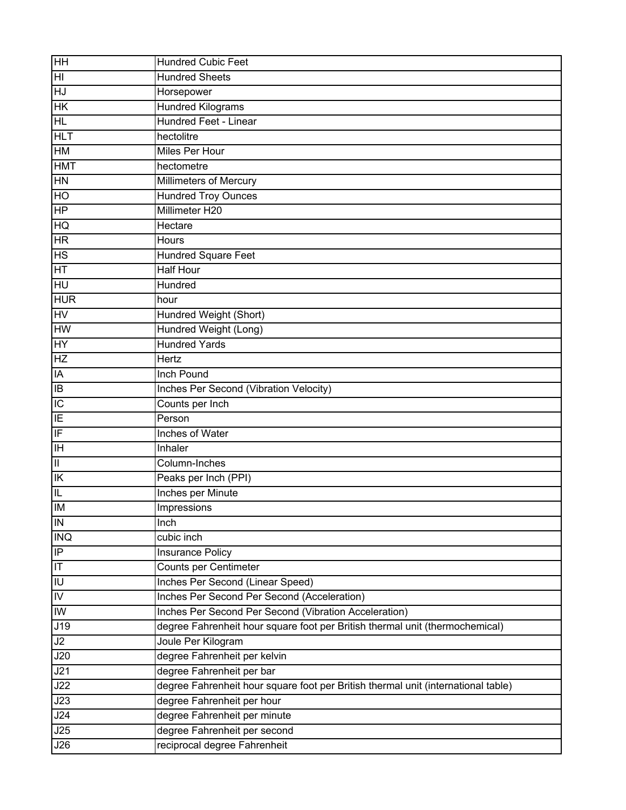| <b>HH</b>                | <b>Hundred Cubic Feet</b>                                                         |
|--------------------------|-----------------------------------------------------------------------------------|
| $\overline{\mathbb{H}}$  | <b>Hundred Sheets</b>                                                             |
| HJ                       | Horsepower                                                                        |
| HK                       | <b>Hundred Kilograms</b>                                                          |
| H <sub>L</sub>           | Hundred Feet - Linear                                                             |
| <b>HLT</b>               | hectolitre                                                                        |
| HM                       | <b>Miles Per Hour</b>                                                             |
| <b>HMT</b>               | hectometre                                                                        |
| <b>HN</b>                | <b>Millimeters of Mercury</b>                                                     |
| HO                       | <b>Hundred Troy Ounces</b>                                                        |
| HP                       | Millimeter H20                                                                    |
| HQ                       | Hectare                                                                           |
| $\overline{\mathsf{HR}}$ | Hours                                                                             |
| H <sub>S</sub>           | Hundred Square Feet                                                               |
| $\overline{\mathsf{HT}}$ | <b>Half Hour</b>                                                                  |
| Е                        | Hundred                                                                           |
| <b>HUR</b>               | hour                                                                              |
| <b>HV</b>                | Hundred Weight (Short)                                                            |
| <b>HW</b>                | Hundred Weight (Long)                                                             |
| <b>HY</b>                | <b>Hundred Yards</b>                                                              |
| <b>HZ</b>                | Hertz                                                                             |
| IA                       | Inch Pound                                                                        |
| IB                       | Inches Per Second (Vibration Velocity)                                            |
| $\overline{C}$           | Counts per Inch                                                                   |
| IE                       | Person                                                                            |
| IF                       | <b>Inches of Water</b>                                                            |
| $\overline{\mathbb{H}}$  | Inhaler                                                                           |
| $\overline{\mathbb{H}}$  | Column-Inches                                                                     |
| IK                       | Peaks per Inch (PPI)                                                              |
| $\overline{\mathsf{I}}$  | Inches per Minute                                                                 |
| <b>IM</b>                | Impressions                                                                       |
| $\overline{N}$           | Inch                                                                              |
| <b>INQ</b>               | cubic inch                                                                        |
| $\overline{P}$           | <b>Insurance Policy</b>                                                           |
| $\overline{\mathsf{H}}$  | Counts per Centimeter                                                             |
| IU                       | Inches Per Second (Linear Speed)                                                  |
| $\overline{N}$           | Inches Per Second Per Second (Acceleration)                                       |
| IW                       | Inches Per Second Per Second (Vibration Acceleration)                             |
| J19                      | degree Fahrenheit hour square foot per British thermal unit (thermochemical)      |
| J2                       | Joule Per Kilogram                                                                |
| J20                      | degree Fahrenheit per kelvin                                                      |
| J21                      | degree Fahrenheit per bar                                                         |
| J22                      | degree Fahrenheit hour square foot per British thermal unit (international table) |
| J23                      | degree Fahrenheit per hour                                                        |
| J24                      | degree Fahrenheit per minute                                                      |
| J25                      | degree Fahrenheit per second                                                      |
| J26                      | reciprocal degree Fahrenheit                                                      |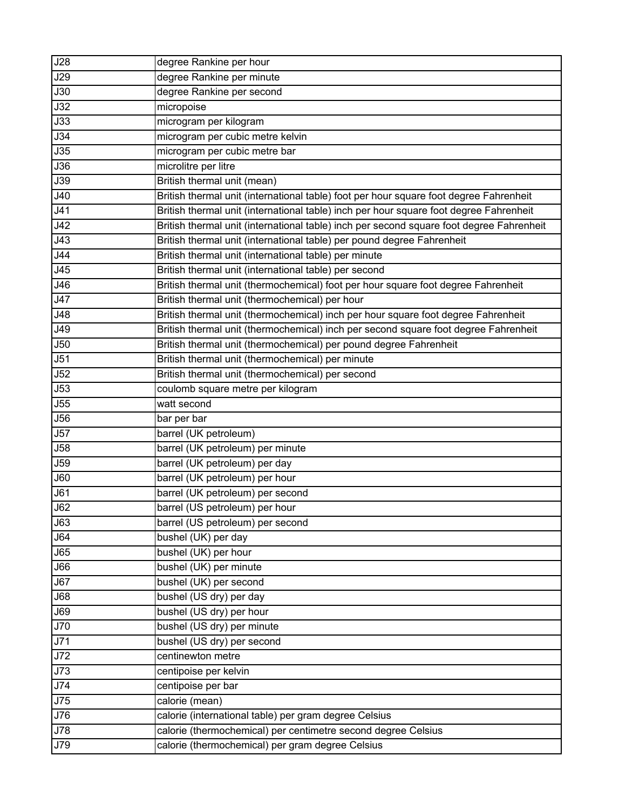| J28        | degree Rankine per hour                                                                  |
|------------|------------------------------------------------------------------------------------------|
| <b>J29</b> | degree Rankine per minute                                                                |
| J30        | degree Rankine per second                                                                |
| J32        | micropoise                                                                               |
| J33        | microgram per kilogram                                                                   |
| J34        | microgram per cubic metre kelvin                                                         |
| J35        | microgram per cubic metre bar                                                            |
| J36        | microlitre per litre                                                                     |
| J39        | British thermal unit (mean)                                                              |
| J40        | British thermal unit (international table) foot per hour square foot degree Fahrenheit   |
| J41        | British thermal unit (international table) inch per hour square foot degree Fahrenheit   |
| J42        | British thermal unit (international table) inch per second square foot degree Fahrenheit |
| J43        | British thermal unit (international table) per pound degree Fahrenheit                   |
| <b>J44</b> | British thermal unit (international table) per minute                                    |
| J45        | British thermal unit (international table) per second                                    |
| <b>J46</b> | British thermal unit (thermochemical) foot per hour square foot degree Fahrenheit        |
| J47        | British thermal unit (thermochemical) per hour                                           |
| J48        | British thermal unit (thermochemical) inch per hour square foot degree Fahrenheit        |
| J49        | British thermal unit (thermochemical) inch per second square foot degree Fahrenheit      |
| <b>J50</b> | British thermal unit (thermochemical) per pound degree Fahrenheit                        |
| J51        | British thermal unit (thermochemical) per minute                                         |
| J52        | British thermal unit (thermochemical) per second                                         |
| J53        | coulomb square metre per kilogram                                                        |
| J55        | watt second                                                                              |
| J56        | bar per bar                                                                              |
| J57        | barrel (UK petroleum)                                                                    |
| J58        | barrel (UK petroleum) per minute                                                         |
| <b>J59</b> | barrel (UK petroleum) per day                                                            |
| J60        | barrel (UK petroleum) per hour                                                           |
| J61        | barrel (UK petroleum) per second                                                         |
| <b>J62</b> | barrel (US petroleum) per hour                                                           |
| J63        | barrel (US petroleum) per second                                                         |
| J64        | bushel (UK) per day                                                                      |
| J65        | bushel (UK) per hour                                                                     |
| <b>J66</b> | bushel (UK) per minute                                                                   |
| J67        | bushel (UK) per second                                                                   |
| <b>J68</b> | bushel (US dry) per day                                                                  |
| <b>J69</b> | bushel (US dry) per hour                                                                 |
| <b>J70</b> | bushel (US dry) per minute                                                               |
| J71        | bushel (US dry) per second                                                               |
| J72        | centinewton metre                                                                        |
| <b>J73</b> | centipoise per kelvin                                                                    |
| J74        | centipoise per bar                                                                       |
| <b>J75</b> | calorie (mean)                                                                           |
| J76        | calorie (international table) per gram degree Celsius                                    |
| J78        | calorie (thermochemical) per centimetre second degree Celsius                            |
| <b>J79</b> | calorie (thermochemical) per gram degree Celsius                                         |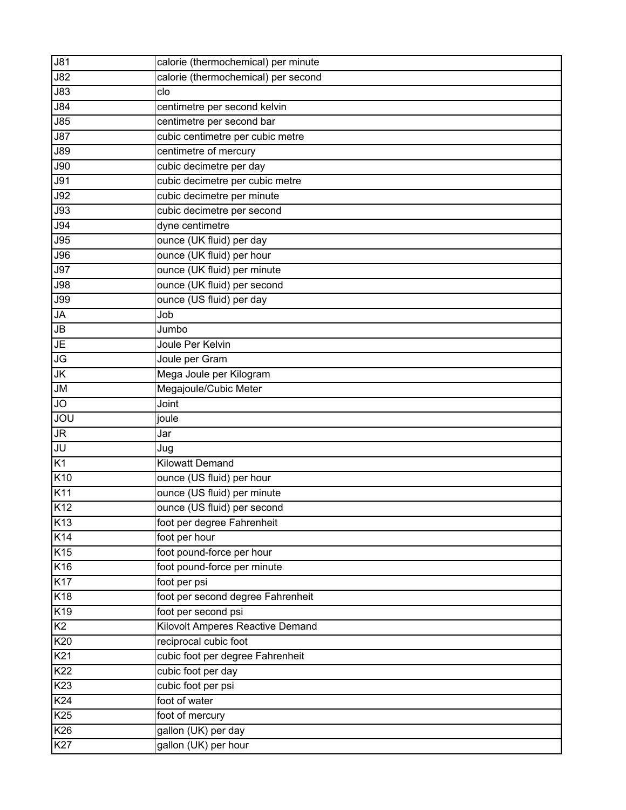| <b>J81</b>                          | calorie (thermochemical) per minute |
|-------------------------------------|-------------------------------------|
| <b>J82</b>                          | calorie (thermochemical) per second |
| <b>J83</b>                          | clo                                 |
| $\overline{\overline{\smash{584}}}$ | centimetre per second kelvin        |
| <b>J85</b>                          | centimetre per second bar           |
| <b>J87</b>                          | cubic centimetre per cubic metre    |
| <b>J89</b>                          | centimetre of mercury               |
| J90                                 | cubic decimetre per day             |
| <b>J91</b>                          | cubic decimetre per cubic metre     |
| <b>J92</b>                          | cubic decimetre per minute          |
| J93                                 | cubic decimetre per second          |
| <b>J94</b>                          | dyne centimetre                     |
| $\overline{J95}$                    | ounce (UK fluid) per day            |
| <b>J96</b>                          | ounce (UK fluid) per hour           |
| <b>J97</b>                          | ounce (UK fluid) per minute         |
| <b>J98</b>                          | ounce (UK fluid) per second         |
| <b>J99</b>                          | ounce (US fluid) per day            |
| <b>JA</b>                           | Job                                 |
| JB                                  | Jumbo                               |
| JE                                  | Joule Per Kelvin                    |
| JG                                  | Joule per Gram                      |
| JK                                  | Mega Joule per Kilogram             |
| JM                                  | Megajoule/Cubic Meter               |
| <b>JO</b>                           | Joint                               |
| JOU                                 | joule                               |
| JR                                  | Jar                                 |
| JU                                  | Jug                                 |
| K1                                  | <b>Kilowatt Demand</b>              |
| K10                                 | ounce (US fluid) per hour           |
| K11                                 | ounce (US fluid) per minute         |
| K12                                 | ounce (US fluid) per second         |
| K <sub>13</sub>                     | foot per degree Fahrenheit          |
| K <sub>14</sub>                     | foot per hour                       |
| K15                                 | foot pound-force per hour           |
| K <sub>16</sub>                     | foot pound-force per minute         |
| K <sub>17</sub>                     | foot per psi                        |
| K18                                 | foot per second degree Fahrenheit   |
| K19                                 | foot per second psi                 |
| K2                                  | Kilovolt Amperes Reactive Demand    |
| K20                                 | reciprocal cubic foot               |
| K <sub>21</sub>                     | cubic foot per degree Fahrenheit    |
| K22                                 | cubic foot per day                  |
| K <sub>23</sub>                     | cubic foot per psi                  |
| K <sub>24</sub>                     | foot of water                       |
| K <sub>25</sub>                     | foot of mercury                     |
| K26                                 | gallon (UK) per day                 |
| K27                                 | gallon (UK) per hour                |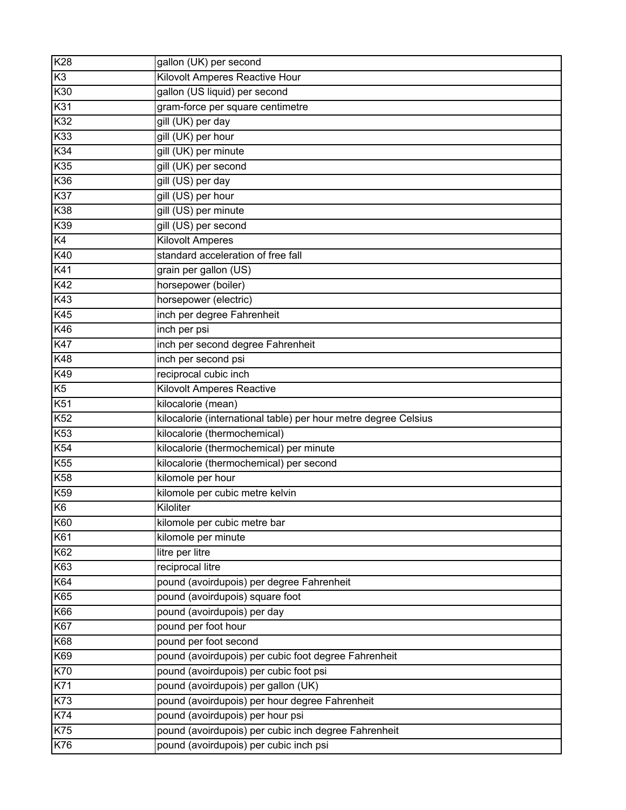| K28             | gallon (UK) per second                                          |
|-----------------|-----------------------------------------------------------------|
| K <sub>3</sub>  | Kilovolt Amperes Reactive Hour                                  |
| K30             | gallon (US liquid) per second                                   |
| K31             | gram-force per square centimetre                                |
| K32             | gill (UK) per day                                               |
| K33             | gill (UK) per hour                                              |
| K34             | gill (UK) per minute                                            |
| K35             | gill (UK) per second                                            |
| K36             | gill (US) per day                                               |
| K37             | gill (US) per hour                                              |
| K38             | gill (US) per minute                                            |
| K39             | gill (US) per second                                            |
| K4              | <b>Kilovolt Amperes</b>                                         |
| K40             | standard acceleration of free fall                              |
| K41             | grain per gallon (US)                                           |
| K42             | horsepower (boiler)                                             |
| K43             | horsepower (electric)                                           |
| K45             | inch per degree Fahrenheit                                      |
| K46             | inch per psi                                                    |
| <b>K47</b>      | inch per second degree Fahrenheit                               |
| K48             | inch per second psi                                             |
| K49             | reciprocal cubic inch                                           |
| K5              | <b>Kilovolt Amperes Reactive</b>                                |
| K51             | kilocalorie (mean)                                              |
| K52             | kilocalorie (international table) per hour metre degree Celsius |
| K <sub>53</sub> | kilocalorie (thermochemical)                                    |
| K54             | kilocalorie (thermochemical) per minute                         |
| K <sub>55</sub> | kilocalorie (thermochemical) per second                         |
| K <sub>58</sub> | kilomole per hour                                               |
| K59             | kilomole per cubic metre kelvin                                 |
| K <sub>6</sub>  | Kiloliter                                                       |
| K60             | kilomole per cubic metre bar                                    |
| K61             | kilomole per minute                                             |
| K62             | litre per litre                                                 |
| K63             | reciprocal litre                                                |
| K64             | pound (avoirdupois) per degree Fahrenheit                       |
| K65             | pound (avoirdupois) square foot                                 |
| K66             | pound (avoirdupois) per day                                     |
| <b>K67</b>      | pound per foot hour                                             |
| K68             | pound per foot second                                           |
| K69             | pound (avoirdupois) per cubic foot degree Fahrenheit            |
| <b>K70</b>      | pound (avoirdupois) per cubic foot psi                          |
| K71             | pound (avoirdupois) per gallon (UK)                             |
| K73             | pound (avoirdupois) per hour degree Fahrenheit                  |
| K74             | pound (avoirdupois) per hour psi                                |
| K75             | pound (avoirdupois) per cubic inch degree Fahrenheit            |
| K76             | pound (avoirdupois) per cubic inch psi                          |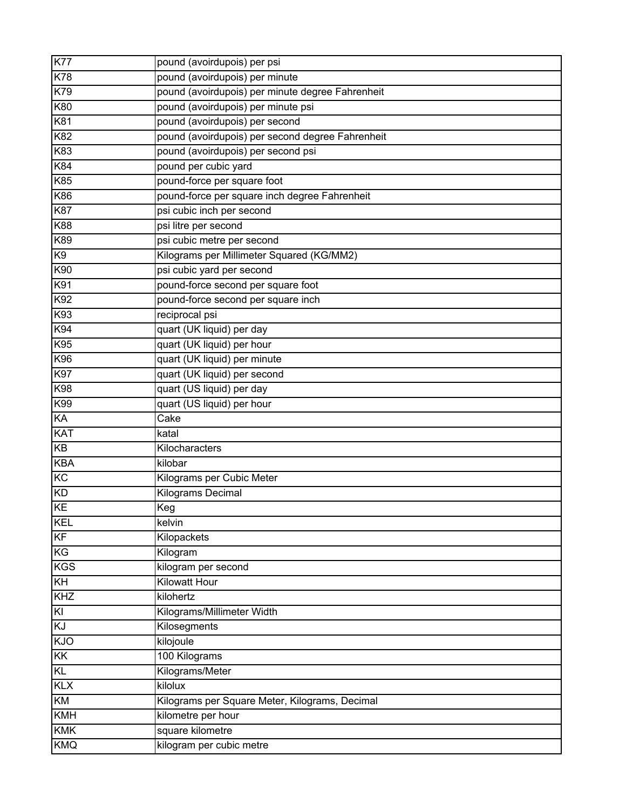| <b>K77</b>     | pound (avoirdupois) per psi                      |
|----------------|--------------------------------------------------|
| <b>K78</b>     | pound (avoirdupois) per minute                   |
| K79            | pound (avoirdupois) per minute degree Fahrenheit |
| K80            | pound (avoirdupois) per minute psi               |
| K81            | pound (avoirdupois) per second                   |
| K82            | pound (avoirdupois) per second degree Fahrenheit |
| K83            | pound (avoirdupois) per second psi               |
| K84            | pound per cubic yard                             |
| K85            | pound-force per square foot                      |
| K86            | pound-force per square inch degree Fahrenheit    |
| <b>K87</b>     | psi cubic inch per second                        |
| K88            | psi litre per second                             |
| K89            | psi cubic metre per second                       |
| K <sub>9</sub> | Kilograms per Millimeter Squared (KG/MM2)        |
| K90            | psi cubic yard per second                        |
| K91            | pound-force second per square foot               |
| K92            | pound-force second per square inch               |
| K93            | reciprocal psi                                   |
| K94            | quart (UK liquid) per day                        |
| K95            | quart (UK liquid) per hour                       |
| K96            | quart (UK liquid) per minute                     |
| K97            | quart (UK liquid) per second                     |
| K98            | quart (US liquid) per day                        |
| K99            | quart (US liquid) per hour                       |
| KA             | Cake                                             |
| <b>KAT</b>     | katal                                            |
| KB             | Kilocharacters                                   |
| <b>KBA</b>     | kilobar                                          |
| K <sub>C</sub> | Kilograms per Cubic Meter                        |
| <b>KD</b>      | <b>Kilograms Decimal</b>                         |
| KE             | Keg                                              |
| <b>KEL</b>     | kelvin                                           |
| KF             | Kilopackets                                      |
| KG             | Kilogram                                         |
| <b>KGS</b>     | kilogram per second                              |
| KH             | <b>Kilowatt Hour</b>                             |
| KHZ            | kilohertz                                        |
| $\overline{K}$ | Kilograms/Millimeter Width                       |
| KJ             | Kilosegments                                     |
| KJO            | kilojoule                                        |
| KK             | 100 Kilograms                                    |
| KL             | Kilograms/Meter                                  |
| <b>KLX</b>     | kilolux                                          |
| KM             | Kilograms per Square Meter, Kilograms, Decimal   |
| <b>KMH</b>     | kilometre per hour                               |
| <b>KMK</b>     | square kilometre                                 |
| <b>KMQ</b>     | kilogram per cubic metre                         |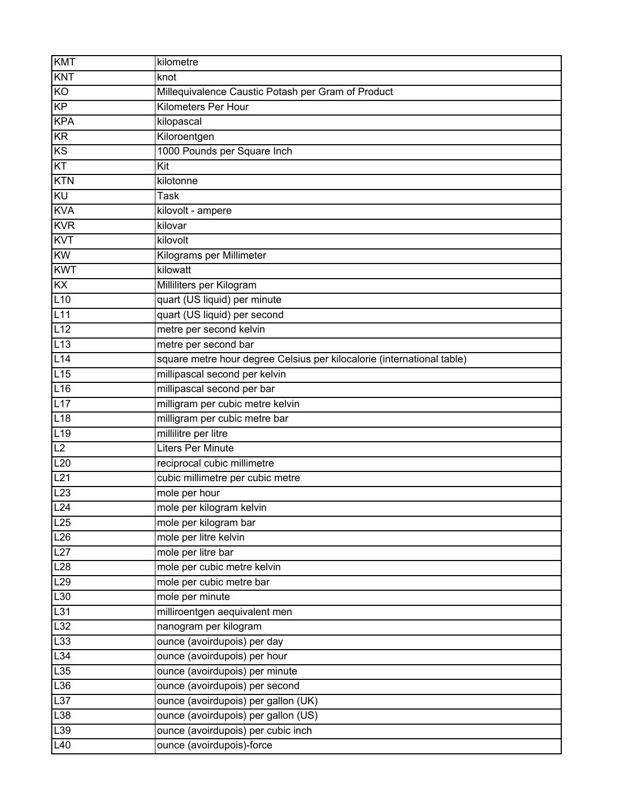| <b>KMT</b>       | kilometre                                                              |
|------------------|------------------------------------------------------------------------|
| <b>KNT</b>       | knot                                                                   |
| KO               | Millequivalence Caustic Potash per Gram of Product                     |
| KP               | <b>Kilometers Per Hour</b>                                             |
| <b>KPA</b>       | kilopascal                                                             |
| <b>KR</b>        | Kiloroentgen                                                           |
| KS               | 1000 Pounds per Square Inch                                            |
| KT               | Kit                                                                    |
| <b>KTN</b>       | kilotonne                                                              |
| <b>KU</b>        | <b>Task</b>                                                            |
| <b>KVA</b>       | kilovolt - ampere                                                      |
| <b>KVR</b>       | kilovar                                                                |
| <b>KVT</b>       | kilovolt                                                               |
| <b>KW</b>        | Kilograms per Millimeter                                               |
| <b>KWT</b>       | kilowatt                                                               |
| KX               | Milliliters per Kilogram                                               |
| L10              | quart (US liquid) per minute                                           |
| L11              | quart (US liquid) per second                                           |
| L12              | metre per second kelvin                                                |
| L13              | metre per second bar                                                   |
| L14              | square metre hour degree Celsius per kilocalorie (international table) |
| L15              | millipascal second per kelvin                                          |
| L16              | millipascal second per bar                                             |
| L17              | milligram per cubic metre kelvin                                       |
| L18              | milligram per cubic metre bar                                          |
| L19              | millilitre per litre                                                   |
| L2               | <b>Liters Per Minute</b>                                               |
| L20              | reciprocal cubic millimetre                                            |
| L21              | cubic millimetre per cubic metre                                       |
| L23              | mole per hour                                                          |
| $L2\overline{4}$ | mole per kilogram kelvin                                               |
| L25              | mole per kilogram bar                                                  |
| L26              | mole per litre kelvin                                                  |
| L27              | mole per litre bar                                                     |
| L28              | mole per cubic metre kelvin                                            |
| L29              | mole per cubic metre bar                                               |
| L30              | mole per minute                                                        |
| L31              | milliroentgen aequivalent men                                          |
| L32              | nanogram per kilogram                                                  |
| L33              | ounce (avoirdupois) per day                                            |
| L34              | ounce (avoirdupois) per hour                                           |
| L35              | ounce (avoirdupois) per minute                                         |
| L36              | ounce (avoirdupois) per second                                         |
| L37              | ounce (avoirdupois) per gallon (UK)                                    |
| L38              | ounce (avoirdupois) per gallon (US)                                    |
| L39              | ounce (avoirdupois) per cubic inch                                     |
| L40              | ounce (avoirdupois)-force                                              |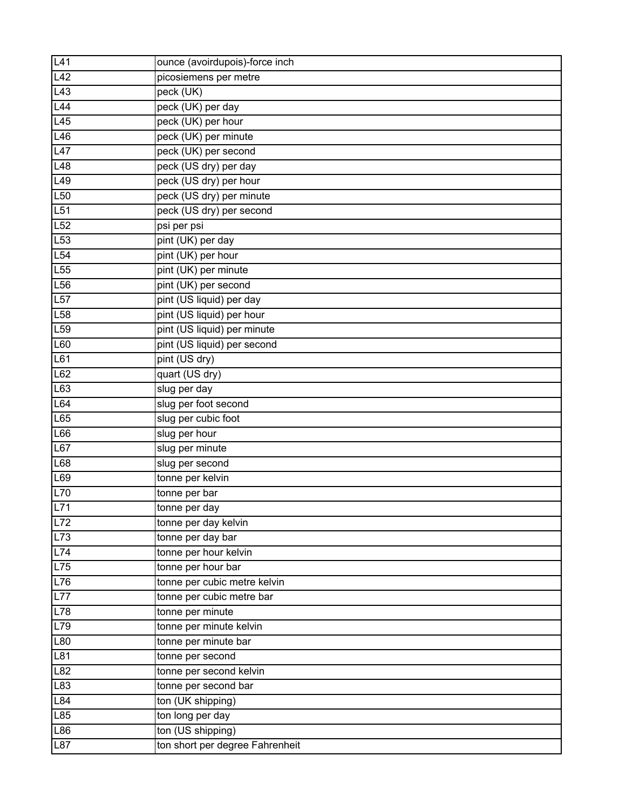| L41              | ounce (avoirdupois)-force inch  |
|------------------|---------------------------------|
| L42              | picosiemens per metre           |
| L43              | peck (UK)                       |
| L44              | peck (UK) per day               |
| L45              | peck (UK) per hour              |
| L46              | peck (UK) per minute            |
| L47              | peck (UK) per second            |
| L48              | peck (US dry) per day           |
| L49              | peck (US dry) per hour          |
| L <sub>50</sub>  | peck (US dry) per minute        |
| L51              | peck (US dry) per second        |
| L52              | psi per psi                     |
| L <sub>53</sub>  | pint (UK) per day               |
| L54              | pint (UK) per hour              |
| L55              | pint (UK) per minute            |
| L56              | pint (UK) per second            |
| L57              | pint (US liquid) per day        |
| L58              | pint (US liquid) per hour       |
| L <sub>59</sub>  | pint (US liquid) per minute     |
| L60              | pint (US liquid) per second     |
| L61              | pint (US dry)                   |
| L62              | quart (US dry)                  |
| L63              | slug per day                    |
| L64              | slug per foot second            |
| L65              | slug per cubic foot             |
| L66              | slug per hour                   |
| L67              | slug per minute                 |
| L68              | slug per second                 |
| L69              | tonne per kelvin                |
| L70              | tonne per bar                   |
| L71              | tonne per day                   |
| L72              | tonne per day kelvin            |
| L73              | tonne per day bar               |
| $\overline{L74}$ | tonne per hour kelvin           |
| L75              | tonne per hour bar              |
| L76              | tonne per cubic metre kelvin    |
| L77              | tonne per cubic metre bar       |
| L78              | tonne per minute                |
| L79              | tonne per minute kelvin         |
| L80              | tonne per minute bar            |
| L81              | tonne per second                |
| L82              | tonne per second kelvin         |
| L83              | tonne per second bar            |
| L84              | ton (UK shipping)               |
| L85              | ton long per day                |
| L86              | ton (US shipping)               |
| L87              | ton short per degree Fahrenheit |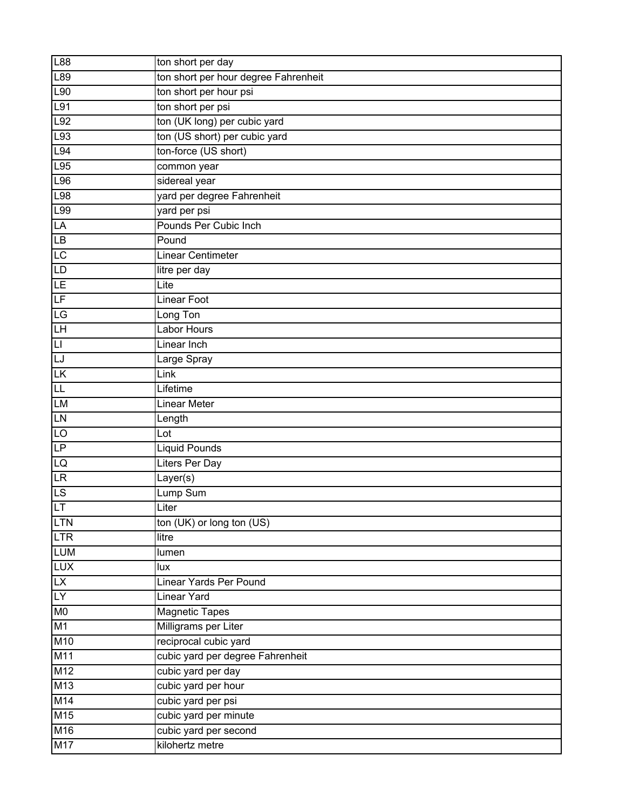| L88                      | ton short per day                    |
|--------------------------|--------------------------------------|
| L89                      | ton short per hour degree Fahrenheit |
| L90                      | ton short per hour psi               |
| L91                      | ton short per psi                    |
| $\overline{L92}$         | ton (UK long) per cubic yard         |
| L93                      | ton (US short) per cubic yard        |
| L94                      | ton-force (US short)                 |
| L95                      | common year                          |
| L96                      | sidereal year                        |
| L98                      | yard per degree Fahrenheit           |
| L99                      | yard per psi                         |
| LÄ                       | Pounds Per Cubic Inch                |
| LB                       | Pound                                |
| LC                       | <b>Linear Centimeter</b>             |
| LD                       | litre per day                        |
| LE                       | Lite                                 |
| $\overline{\mathsf{LF}}$ | <b>Linear Foot</b>                   |
| LG                       | Long Ton                             |
| LH                       | <b>Labor Hours</b>                   |
| $\overline{L}$           | Linear Inch                          |
| LJ                       | Large Spray                          |
| LΚ                       | Link                                 |
| 叿                        | Lifetime                             |
| <b>LM</b>                | <b>Linear Meter</b>                  |
| LN                       | Length                               |
| LO                       | Lo <sub>t</sub>                      |
| LP                       | <b>Liquid Pounds</b>                 |
| LQ                       | Liters Per Day                       |
| <b>LR</b>                | Layer(s)                             |
| LS                       | Lump Sum                             |
| LT                       | Liter                                |
| <b>LTN</b>               | ton (UK) or long ton (US)            |
| LTR                      | litre                                |
| <b>LUM</b>               | lumen                                |
| <b>LUX</b>               | lux                                  |
| <b>LX</b>                | Linear Yards Per Pound               |
| LY                       | <b>Linear Yard</b>                   |
| <b>MO</b>                | <b>Magnetic Tapes</b>                |
| M1                       | Milligrams per Liter                 |
| M10                      | reciprocal cubic yard                |
| M11                      | cubic yard per degree Fahrenheit     |
| M12                      | cubic yard per day                   |
| M13                      | cubic yard per hour                  |
| M14                      | cubic yard per psi                   |
| M15                      | cubic yard per minute                |
| M16                      | cubic yard per second                |
| M17                      | kilohertz metre                      |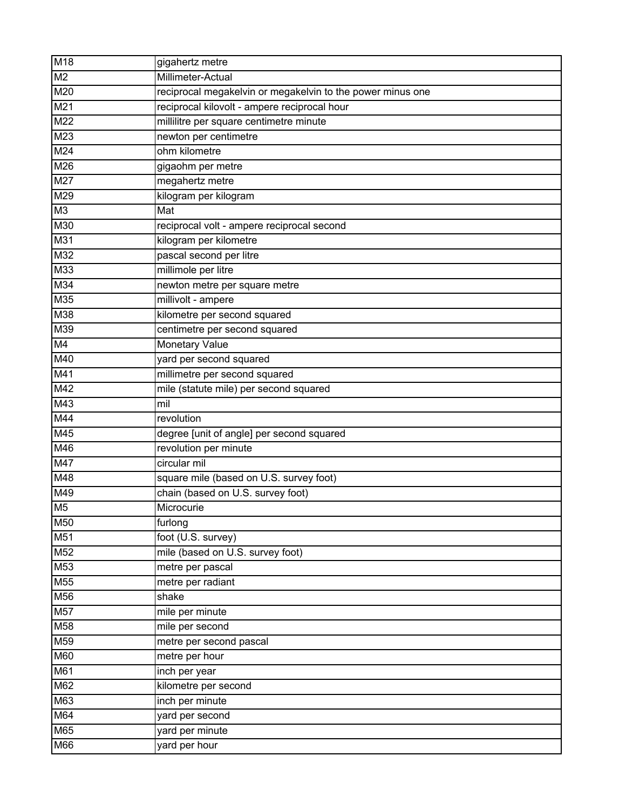| M <sub>18</sub> | gigahertz metre                                            |
|-----------------|------------------------------------------------------------|
| M <sub>2</sub>  | Millimeter-Actual                                          |
| M <sub>20</sub> | reciprocal megakelvin or megakelvin to the power minus one |
| M21             | reciprocal kilovolt - ampere reciprocal hour               |
| M <sub>22</sub> | millilitre per square centimetre minute                    |
| M23             | newton per centimetre                                      |
| M24             | ohm kilometre                                              |
| M26             | gigaohm per metre                                          |
| M27             | megahertz metre                                            |
| M29             | kilogram per kilogram                                      |
| M <sub>3</sub>  | Mat                                                        |
| M30             | reciprocal volt - ampere reciprocal second                 |
| M31             | kilogram per kilometre                                     |
| M32             | pascal second per litre                                    |
| M <sub>33</sub> | millimole per litre                                        |
| M34             | newton metre per square metre                              |
| M35             | millivolt - ampere                                         |
| M38             | kilometre per second squared                               |
| M39             | centimetre per second squared                              |
| M4              | Monetary Value                                             |
| M40             | yard per second squared                                    |
| M41             | millimetre per second squared                              |
| M42             | mile (statute mile) per second squared                     |
| M43             | mil                                                        |
| M44             | revolution                                                 |
| M45             | degree [unit of angle] per second squared                  |
| M46             | revolution per minute                                      |
| M47             | circular mil                                               |
| M48             | square mile (based on U.S. survey foot)                    |
| M49             | chain (based on U.S. survey foot)                          |
| M <sub>5</sub>  | Microcurie                                                 |
| M50             | furlong                                                    |
| M51             | foot (U.S. survey)                                         |
| M52             | mile (based on U.S. survey foot)                           |
| M53             | metre per pascal                                           |
| M <sub>55</sub> | metre per radiant                                          |
| M56             | shake                                                      |
| M57             | mile per minute                                            |
| M <sub>58</sub> | mile per second                                            |
| M59             | metre per second pascal                                    |
| M60             | metre per hour                                             |
| M61             | inch per year                                              |
| M62             | kilometre per second                                       |
| M63             | inch per minute                                            |
| M64             | yard per second                                            |
| M65             | yard per minute                                            |
| M66             | yard per hour                                              |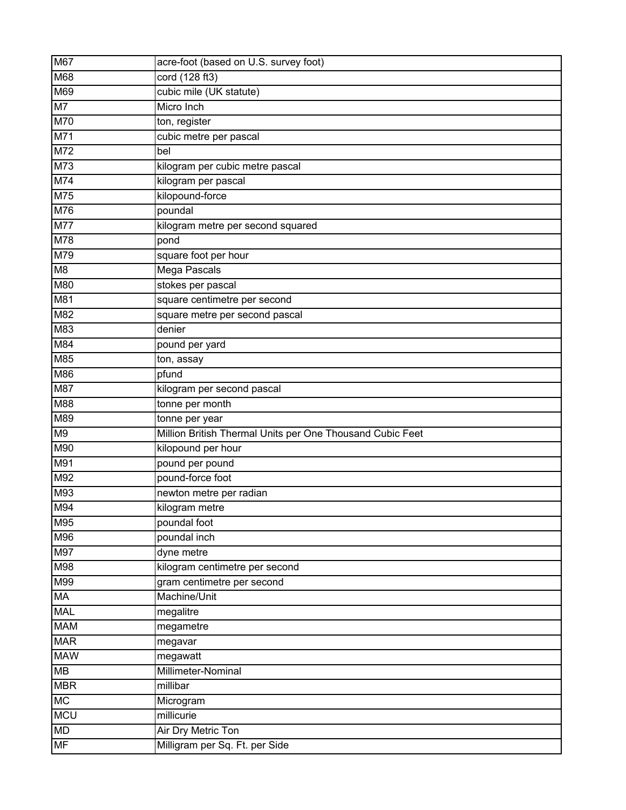| M67             | acre-foot (based on U.S. survey foot)                     |
|-----------------|-----------------------------------------------------------|
| M68             | cord (128 ft3)                                            |
| M69             | cubic mile (UK statute)                                   |
| M <sub>7</sub>  | Micro Inch                                                |
| M70             | ton, register                                             |
| M71             | cubic metre per pascal                                    |
| M72             | bel                                                       |
| M73             | kilogram per cubic metre pascal                           |
| M74             | kilogram per pascal                                       |
| M75             | kilopound-force                                           |
| M76             | poundal                                                   |
| M77             | kilogram metre per second squared                         |
| M78             | pond                                                      |
| M79             | square foot per hour                                      |
| M <sub>8</sub>  | <b>Mega Pascals</b>                                       |
| M80             | stokes per pascal                                         |
| M81             | square centimetre per second                              |
| M82             | square metre per second pascal                            |
| M83             | denier                                                    |
| M84             | pound per yard                                            |
| M85             | ton, assay                                                |
| M86             | pfund                                                     |
| M87             | kilogram per second pascal                                |
| M88             | tonne per month                                           |
|                 | tonne per year                                            |
| M89             |                                                           |
| M <sub>9</sub>  | Million British Thermal Units per One Thousand Cubic Feet |
| M90             | kilopound per hour                                        |
| M91             | pound per pound                                           |
| M92             | pound-force foot                                          |
| M93             | newton metre per radian                                   |
| M94             | kilogram metre                                            |
| M95             | poundal foot                                              |
| M96             | poundal inch                                              |
| M97             | dyne metre                                                |
| M98             | kilogram centimetre per second                            |
| M99             | gram centimetre per second                                |
| MA              | Machine/Unit                                              |
| <b>MAL</b>      | megalitre                                                 |
| <b>MAM</b>      | megametre                                                 |
| <b>MAR</b>      | megavar                                                   |
| <b>MAW</b>      | megawatt                                                  |
| <b>MB</b>       | Millimeter-Nominal                                        |
| <b>MBR</b>      | millibar                                                  |
| <b>MC</b>       | Microgram                                                 |
| <b>MCU</b>      | millicurie                                                |
| MD<br><b>MF</b> | Air Dry Metric Ton<br>Milligram per Sq. Ft. per Side      |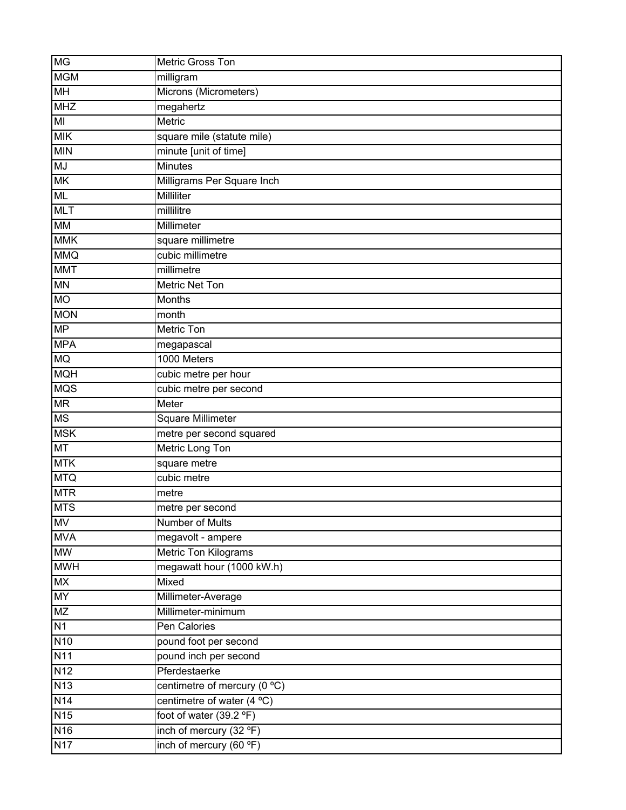| <b>MG</b>       | Metric Gross Ton             |
|-----------------|------------------------------|
| <b>MGM</b>      | milligram                    |
| MH              | Microns (Micrometers)        |
| <b>MHZ</b>      | megahertz                    |
| MI              | Metric                       |
| <b>MIK</b>      | square mile (statute mile)   |
| <b>MIN</b>      | minute [unit of time]        |
| <b>MJ</b>       | <b>Minutes</b>               |
| <b>MK</b>       | Milligrams Per Square Inch   |
| <b>ML</b>       | Milliliter                   |
| <b>MLT</b>      | millilitre                   |
| <b>MM</b>       | Millimeter                   |
| <b>MMK</b>      | square millimetre            |
| <b>MMQ</b>      | cubic millimetre             |
| <b>MMT</b>      | millimetre                   |
| <b>MN</b>       | <b>Metric Net Ton</b>        |
| <b>MO</b>       | Months                       |
| <b>MON</b>      | month                        |
| <b>MP</b>       | <b>Metric Ton</b>            |
| <b>MPA</b>      | megapascal                   |
| <b>MQ</b>       | 1000 Meters                  |
| <b>MQH</b>      | cubic metre per hour         |
| <b>MQS</b>      | cubic metre per second       |
| <b>MR</b>       | Meter                        |
| <b>MS</b>       | Square Millimeter            |
| <b>MSK</b>      | metre per second squared     |
| <b>MT</b>       | Metric Long Ton              |
| <b>MTK</b>      | square metre                 |
| <b>MTQ</b>      | cubic metre                  |
| <b>MTR</b>      | metre                        |
| <b>MTS</b>      | metre per second             |
| <b>MV</b>       | <b>Number of Mults</b>       |
| <b>MVA</b>      | megavolt - ampere            |
| <b>MW</b>       | Metric Ton Kilograms         |
| <b>MWH</b>      | megawatt hour (1000 kW.h)    |
| <b>MX</b>       | <b>Mixed</b>                 |
| <b>MY</b>       | Millimeter-Average           |
| MZ              | Millimeter-minimum           |
| N1              | Pen Calories                 |
| <b>N10</b>      | pound foot per second        |
| <b>N11</b>      | pound inch per second        |
| N <sub>12</sub> | Pferdestaerke                |
| N13             | centimetre of mercury (0 °C) |
| N <sub>14</sub> | centimetre of water $(4 °C)$ |
| N <sub>15</sub> | foot of water (39.2 °F)      |
| N <sub>16</sub> | inch of mercury (32 °F)      |
| N17             | inch of mercury (60 °F)      |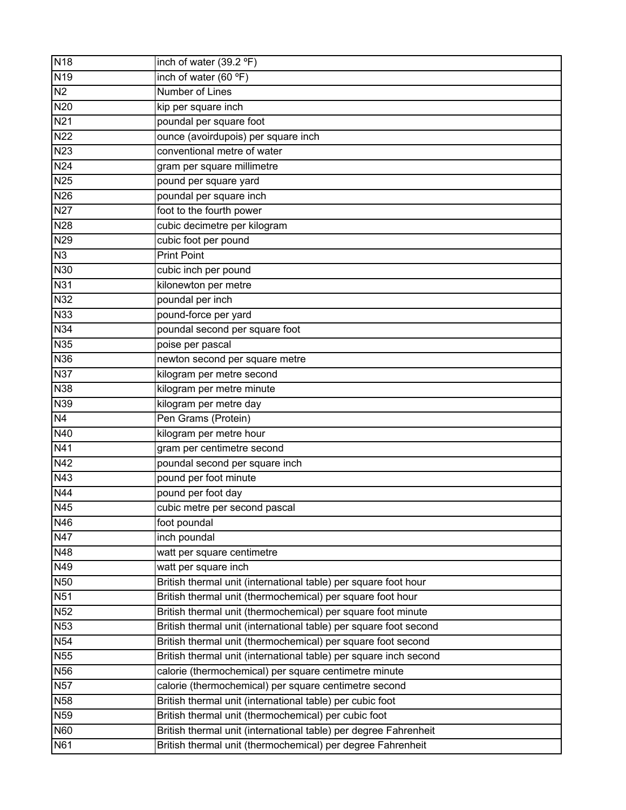| N <sub>18</sub> | inch of water (39.2 °F)                                           |
|-----------------|-------------------------------------------------------------------|
| N <sub>19</sub> | inch of water (60 °F)                                             |
| N <sub>2</sub>  | <b>Number of Lines</b>                                            |
| N20             | kip per square inch                                               |
| N <sub>21</sub> | poundal per square foot                                           |
| <b>N22</b>      | ounce (avoirdupois) per square inch                               |
| <b>N23</b>      | conventional metre of water                                       |
| N <sub>24</sub> | gram per square millimetre                                        |
| <b>N25</b>      | pound per square yard                                             |
| N26             | poundal per square inch                                           |
| <b>N27</b>      | foot to the fourth power                                          |
| N28             | cubic decimetre per kilogram                                      |
| N29             | cubic foot per pound                                              |
| N3              | <b>Print Point</b>                                                |
| <b>N30</b>      | cubic inch per pound                                              |
| <b>N31</b>      | kilonewton per metre                                              |
| <b>N32</b>      | poundal per inch                                                  |
| <b>N33</b>      | pound-force per yard                                              |
| <b>N34</b>      | poundal second per square foot                                    |
| N35             | poise per pascal                                                  |
| N36             | newton second per square metre                                    |
| <b>N37</b>      | kilogram per metre second                                         |
| <b>N38</b>      | kilogram per metre minute                                         |
| <b>N39</b>      | kilogram per metre day                                            |
| N4              | Pen Grams (Protein)                                               |
| N40             | kilogram per metre hour                                           |
| N41             | gram per centimetre second                                        |
| N42             | poundal second per square inch                                    |
| N43             | pound per foot minute                                             |
| N44             | pound per foot day                                                |
| N45             | cubic metre per second pascal                                     |
| N46             | foot poundal                                                      |
| N47             | inch poundal                                                      |
| N48             | watt per square centimetre                                        |
| N49             | watt per square inch                                              |
| <b>N50</b>      | British thermal unit (international table) per square foot hour   |
| <b>N51</b>      | British thermal unit (thermochemical) per square foot hour        |
| <b>N52</b>      | British thermal unit (thermochemical) per square foot minute      |
| <b>N53</b>      | British thermal unit (international table) per square foot second |
| <b>N54</b>      | British thermal unit (thermochemical) per square foot second      |
| N55             | British thermal unit (international table) per square inch second |
| <b>N56</b>      | calorie (thermochemical) per square centimetre minute             |
| <b>N57</b>      | calorie (thermochemical) per square centimetre second             |
| <b>N58</b>      | British thermal unit (international table) per cubic foot         |
| <b>N59</b>      | British thermal unit (thermochemical) per cubic foot              |
| <b>N60</b>      | British thermal unit (international table) per degree Fahrenheit  |
| N61             | British thermal unit (thermochemical) per degree Fahrenheit       |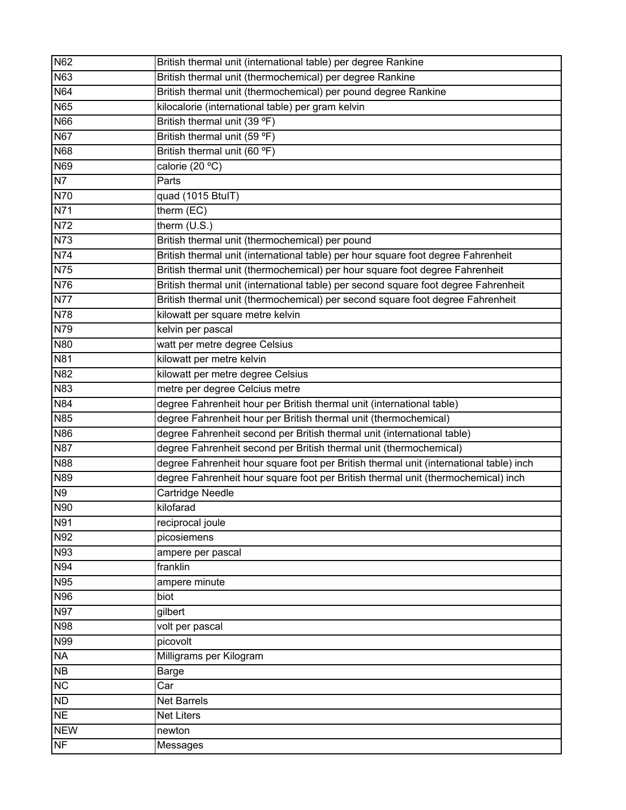| N62                       | British thermal unit (international table) per degree Rankine                          |
|---------------------------|----------------------------------------------------------------------------------------|
| N63                       | British thermal unit (thermochemical) per degree Rankine                               |
| N64                       | British thermal unit (thermochemical) per pound degree Rankine                         |
| <b>N65</b>                | kilocalorie (international table) per gram kelvin                                      |
| <b>N66</b>                | British thermal unit (39 °F)                                                           |
| <b>N67</b>                | British thermal unit (59 °F)                                                           |
| <b>N68</b>                | British thermal unit (60 °F)                                                           |
| <b>N69</b>                | calorie (20 °C)                                                                        |
| N7                        | Parts                                                                                  |
| N70                       | quad (1015 BtulT)                                                                      |
| N71                       | therm $(EC)$                                                                           |
| N72                       | therm $(U.S.)$                                                                         |
| <b>N73</b>                | British thermal unit (thermochemical) per pound                                        |
| N74                       | British thermal unit (international table) per hour square foot degree Fahrenheit      |
| $\overline{\mathsf{N75}}$ | British thermal unit (thermochemical) per hour square foot degree Fahrenheit           |
| N76                       | British thermal unit (international table) per second square foot degree Fahrenheit    |
| <b>N77</b>                | British thermal unit (thermochemical) per second square foot degree Fahrenheit         |
| N78                       | kilowatt per square metre kelvin                                                       |
| N79                       | kelvin per pascal                                                                      |
| <b>N80</b>                | watt per metre degree Celsius                                                          |
| <b>N81</b>                | kilowatt per metre kelvin                                                              |
| <b>N82</b>                | kilowatt per metre degree Celsius                                                      |
| N83                       | metre per degree Celcius metre                                                         |
| <b>N84</b>                | degree Fahrenheit hour per British thermal unit (international table)                  |
| <b>N85</b>                | degree Fahrenheit hour per British thermal unit (thermochemical)                       |
| N86                       | degree Fahrenheit second per British thermal unit (international table)                |
| <b>N87</b>                | degree Fahrenheit second per British thermal unit (thermochemical)                     |
| <b>N88</b>                | degree Fahrenheit hour square foot per British thermal unit (international table) inch |
| <b>N89</b>                | degree Fahrenheit hour square foot per British thermal unit (thermochemical) inch      |
| N <sub>9</sub>            | <b>Cartridge Needle</b>                                                                |
| N90                       | kilofarad                                                                              |
| N91                       | reciprocal joule                                                                       |
| N92                       | picosiemens                                                                            |
| N93                       | ampere per pascal                                                                      |
| N94                       | franklin                                                                               |
| N95                       | ampere minute                                                                          |
| N96                       | biot                                                                                   |
| <b>N97</b>                | gilbert                                                                                |
| <b>N98</b>                | volt per pascal                                                                        |
| N99                       | picovolt                                                                               |
| <b>NA</b>                 | Milligrams per Kilogram                                                                |
| NB                        | Barge                                                                                  |
| <b>NC</b>                 | Car                                                                                    |
| ND                        | <b>Net Barrels</b>                                                                     |
| <b>NE</b>                 | <b>Net Liters</b>                                                                      |
| <b>NEW</b>                | newton                                                                                 |
| NF                        | <b>Messages</b>                                                                        |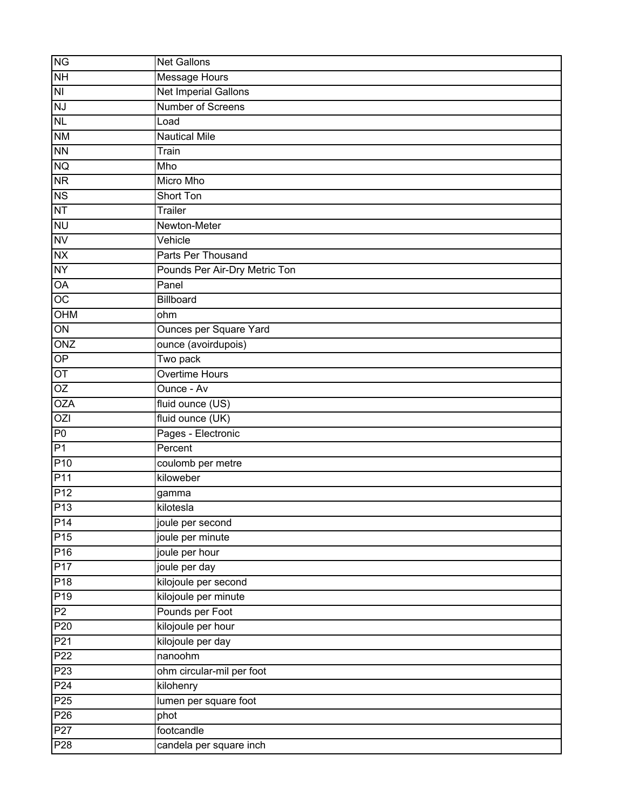| <b>NG</b>               | <b>Net Gallons</b>                    |
|-------------------------|---------------------------------------|
| <b>NH</b>               | <b>Message Hours</b>                  |
| $\overline{\mathsf{M}}$ | <b>Net Imperial Gallons</b>           |
| <b>NJ</b>               | Number of Screens                     |
| <b>NL</b>               | Load                                  |
| <b>NM</b>               | <b>Nautical Mile</b>                  |
| <b>NN</b>               | Train                                 |
| <b>NQ</b>               | Mho                                   |
| <b>NR</b>               | Micro Mho                             |
| <b>NS</b>               | <b>Short Ton</b>                      |
| NT                      | <b>Trailer</b>                        |
| <b>NU</b>               | Newton-Meter                          |
| <b>NV</b>               | Vehicle                               |
| <b>NX</b>               | Parts Per Thousand                    |
| <b>NY</b>               | Pounds Per Air-Dry Metric Ton         |
| OA                      | Panel                                 |
| OC                      | Billboard                             |
| OHM                     | ohm                                   |
| $\overline{ON}$         | <b>Ounces per Square Yard</b>         |
| ONZ                     | ounce (avoirdupois)                   |
| OP                      | Two pack                              |
| OT                      | <b>Overtime Hours</b>                 |
| OZ                      | Ounce - Av                            |
| <b>OZA</b>              | $\sqrt{\frac{1}{1}}$ fluid ounce (US) |
| OZI                     | fluid ounce (UK)                      |
| P <sub>0</sub>          | Pages - Electronic                    |
| P1                      | Percent                               |
| P <sub>10</sub>         | coulomb per metre                     |
| P <sub>11</sub>         | kiloweber                             |
| P <sub>12</sub>         | gamma                                 |
| P <sub>13</sub>         | kilotesla                             |
| $\overline{P14}$        | joule per second                      |
| P15                     | joule per minute                      |
| P <sub>16</sub>         | joule per hour                        |
| P17                     | joule per day                         |
| P <sub>18</sub>         | kilojoule per second                  |
| P <sub>19</sub>         | kilojoule per minute                  |
| P2                      | Pounds per Foot                       |
| P <sub>20</sub>         | kilojoule per hour                    |
| P <sub>21</sub>         | kilojoule per day                     |
| P <sub>22</sub>         | nanoohm                               |
| P <sub>23</sub>         | ohm circular-mil per foot             |
| P <sub>24</sub>         | kilohenry                             |
| P <sub>25</sub>         | lumen per square foot                 |
| P <sub>26</sub>         | phot                                  |
| P27                     | footcandle                            |
| P28                     | candela per square inch               |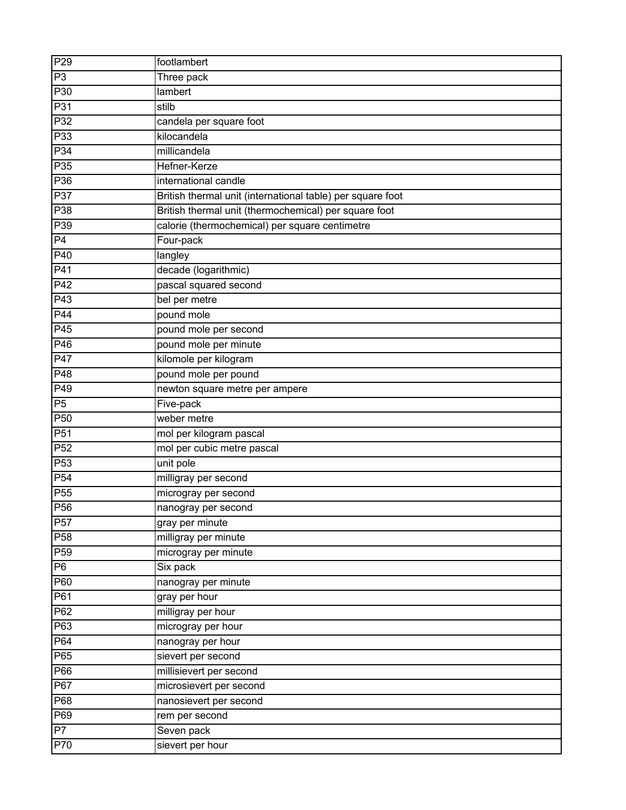| P29             | footlambert                                                |
|-----------------|------------------------------------------------------------|
| P <sub>3</sub>  | Three pack                                                 |
| P30             | lambert                                                    |
| P31             | stilb                                                      |
| P <sub>32</sub> | candela per square foot                                    |
| P33             | kilocandela                                                |
| P34             | millicandela                                               |
| P35             | Hefner-Kerze                                               |
| P36             | international candle                                       |
| P37             | British thermal unit (international table) per square foot |
| P38             | British thermal unit (thermochemical) per square foot      |
| P39             | calorie (thermochemical) per square centimetre             |
| P4              | Four-pack                                                  |
| P40             | langley                                                    |
| P41             | decade (logarithmic)                                       |
| P42             | pascal squared second                                      |
| P43             | bel per metre                                              |
| P44             | pound mole                                                 |
| P45             | pound mole per second                                      |
| P46             | pound mole per minute                                      |
| P47             | kilomole per kilogram                                      |
| P48             | pound mole per pound                                       |
| P49             | newton square metre per ampere                             |
| P <sub>5</sub>  | Five-pack                                                  |
| P <sub>50</sub> | weber metre                                                |
| P <sub>51</sub> | mol per kilogram pascal                                    |
| P <sub>52</sub> | mol per cubic metre pascal                                 |
| P <sub>53</sub> | unit pole                                                  |
| P54             | milligray per second                                       |
| P <sub>55</sub> | microgray per second                                       |
| P <sub>56</sub> | nanogray per second                                        |
| P <sub>57</sub> | gray per minute                                            |
| P <sub>58</sub> | milligray per minute                                       |
| P <sub>59</sub> | microgray per minute                                       |
| P <sub>6</sub>  | Six pack                                                   |
| P60             | nanogray per minute                                        |
| P61             | gray per hour                                              |
| P62             | milligray per hour                                         |
| P63             | microgray per hour                                         |
| P64             | nanogray per hour                                          |
| P65             | sievert per second                                         |
| P66             | millisievert per second                                    |
| P67             | microsievert per second                                    |
| P68             | nanosievert per second                                     |
| P69             | rem per second                                             |
| P7              | Seven pack                                                 |
| P70             | sievert per hour                                           |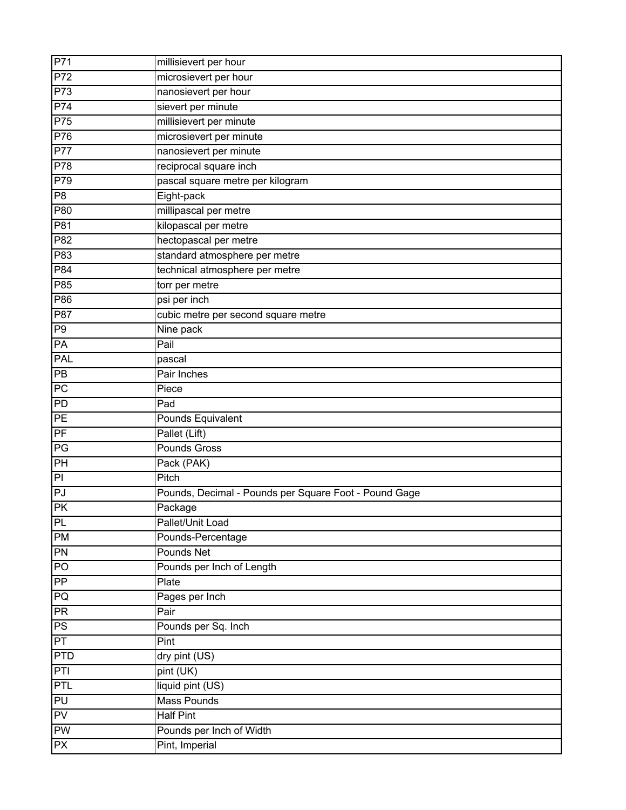| P71             | millisievert per hour                                 |
|-----------------|-------------------------------------------------------|
| P72             | microsievert per hour                                 |
| P73             | nanosievert per hour                                  |
| P74             | sievert per minute                                    |
| P75             | millisievert per minute                               |
| P76             | microsievert per minute                               |
| <b>P77</b>      | nanosievert per minute                                |
| <b>P78</b>      | reciprocal square inch                                |
| P79             | pascal square metre per kilogram                      |
| P <sub>8</sub>  | Eight-pack                                            |
| P80             | millipascal per metre                                 |
| P81             | kilopascal per metre                                  |
| P82             | hectopascal per metre                                 |
| P83             | standard atmosphere per metre                         |
| P84             | technical atmosphere per metre                        |
| P85             | torr per metre                                        |
| P86             | psi per inch                                          |
| P87             | cubic metre per second square metre                   |
| P <sub>9</sub>  | Nine pack                                             |
| PA              | Pail                                                  |
| <b>PAL</b>      | pascal                                                |
| P <sub>B</sub>  | Pair Inches                                           |
| PC              | Piece                                                 |
| PD              | Pad                                                   |
| PE              | Pounds Equivalent                                     |
| PF              | Pallet (Lift)                                         |
| PG              | Pounds Gross                                          |
| PH              | Pack (PAK)                                            |
| $\overline{a}$  | Pitch                                                 |
| PJ              | Pounds, Decimal - Pounds per Square Foot - Pound Gage |
| <b>PK</b>       | Package                                               |
| PL              | Pallet/Unit Load                                      |
| PM              | Pounds-Percentage                                     |
| PN              | Pounds Net                                            |
| PO              | Pounds per Inch of Length                             |
| $\overline{PP}$ | Plate                                                 |
| PQ              | Pages per Inch                                        |
| <b>PR</b>       | Pair                                                  |
| PS              | Pounds per Sq. Inch                                   |
| PT              | Pint                                                  |
| <b>PTD</b>      | dry pint (US)                                         |
| PTI             | pint (UK)                                             |
| PTL             | liquid pint (US)                                      |
| PU              | <b>Mass Pounds</b>                                    |
| PV              | <b>Half Pint</b>                                      |
| PW              | Pounds per Inch of Width                              |
| <b>PX</b>       | Pint, Imperial                                        |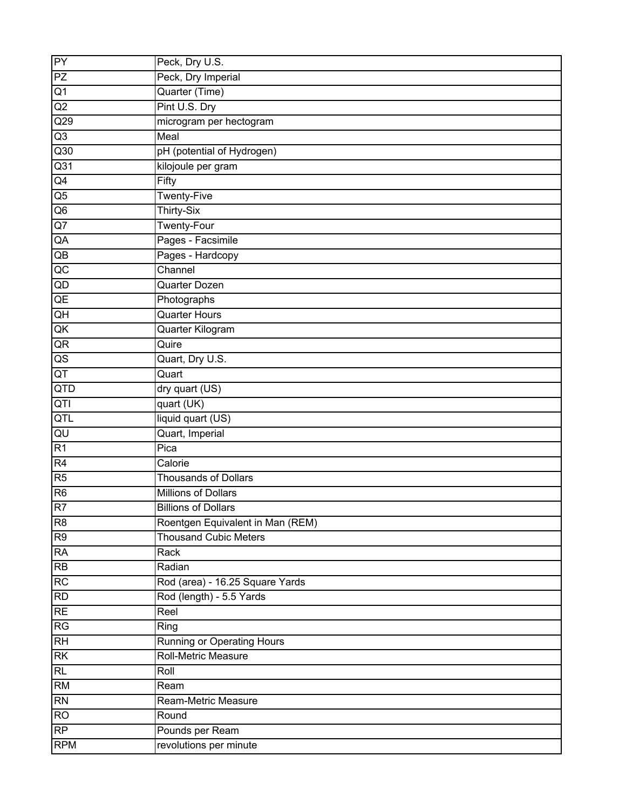| PY                     | Peck, Dry U.S.                    |
|------------------------|-----------------------------------|
| PZ                     | Peck, Dry Imperial                |
| Q1                     | Quarter (Time)                    |
| Q2                     | Pint U.S. Dry                     |
| $\overline{Q29}$       | microgram per hectogram           |
| Q <sub>3</sub>         | Meal                              |
| Q30                    | pH (potential of Hydrogen)        |
| Q31                    | kilojoule per gram                |
| Q4                     | Fifty                             |
| Q5                     | <b>Twenty-Five</b>                |
| Q6                     | <b>Thirty-Six</b>                 |
| Q7                     | <b>Twenty-Four</b>                |
| QA                     | Pages - Facsimile                 |
| $\mathsf{Q}\mathsf{B}$ | Pages - Hardcopy                  |
| $\overline{AC}$        | Channel                           |
| QD                     | Quarter Dozen                     |
| QE                     | Photographs                       |
| QH                     | <b>Quarter Hours</b>              |
| QK                     | Quarter Kilogram                  |
| QR                     | Quire                             |
| $\hbox{\tt QS}$        | Quart, Dry U.S.                   |
| QT                     | Quart                             |
| QTD                    | dry quart (US)                    |
| QTI                    | quart (UK)                        |
| QTL                    | liquid quart (US)                 |
| QU                     | Quart, Imperial                   |
| R1                     | Pica                              |
| R4                     | Calorie                           |
| R5                     | <b>Thousands of Dollars</b>       |
| R <sub>6</sub>         | Millions of Dollars               |
| R7                     | <b>Billions of Dollars</b>        |
| R <sub>8</sub>         | Roentgen Equivalent in Man (REM)  |
| R9                     | <b>Thousand Cubic Meters</b>      |
| <b>RA</b>              | Rack                              |
| <b>RB</b>              | Radian                            |
| RC                     | Rod (area) - 16.25 Square Yards   |
| RD                     | Rod (length) - 5.5 Yards          |
| <b>RE</b>              | Reel                              |
| RG                     | Ring                              |
| RH                     | <b>Running or Operating Hours</b> |
| RK                     | Roll-Metric Measure               |
| RL                     | Roll                              |
| <b>RM</b>              | Ream                              |
| RN                     | Ream-Metric Measure               |
| <b>RO</b>              | Round                             |
| RP                     | Pounds per Ream                   |
| <b>RPM</b>             | revolutions per minute            |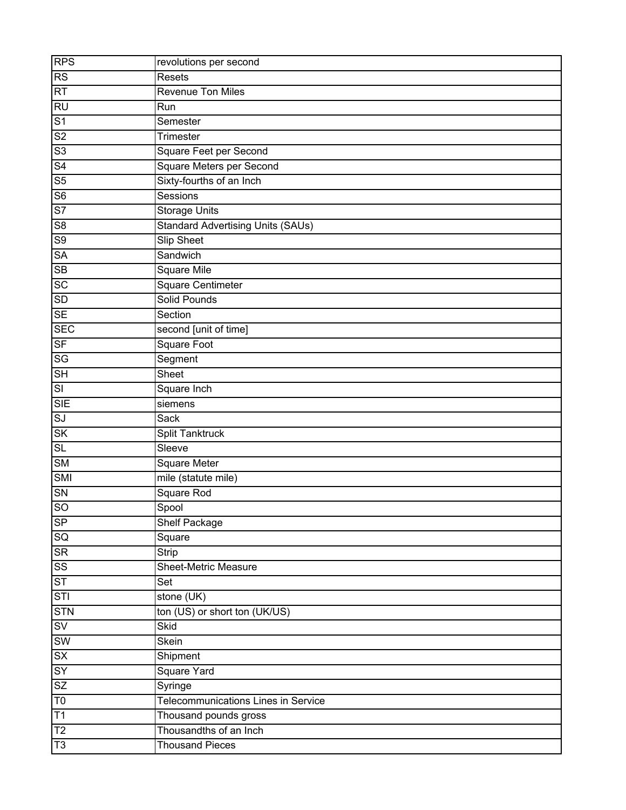| <b>RPS</b>              | revolutions per second                     |
|-------------------------|--------------------------------------------|
| <b>RS</b>               | Resets                                     |
| RT                      | <b>Revenue Ton Miles</b>                   |
| <b>RU</b>               | Run                                        |
| S <sub>1</sub>          | Semester                                   |
| S <sub>2</sub>          | Trimester                                  |
| $\overline{\text{S3}}$  | <b>Square Feet per Second</b>              |
| S <sub>4</sub>          | <b>Square Meters per Second</b>            |
| S <sub>5</sub>          | Sixty-fourths of an Inch                   |
| S <sub>6</sub>          | Sessions                                   |
| S <sub>7</sub>          | <b>Storage Units</b>                       |
| S8                      | <b>Standard Advertising Units (SAUs)</b>   |
| S9                      | <b>Slip Sheet</b>                          |
| <b>SA</b>               | Sandwich                                   |
| <b>SB</b>               | <b>Square Mile</b>                         |
| SC                      | Square Centimeter                          |
| <b>SD</b>               | Solid Pounds                               |
| <b>SE</b>               | Section                                    |
| <b>SEC</b>              | second [unit of time]                      |
| <b>SF</b>               | Square Foot                                |
| <b>SG</b>               | Segment                                    |
| <b>SH</b>               | Sheet                                      |
| $\overline{\mathsf{S}}$ | Square Inch                                |
| <b>SIE</b>              | siemens                                    |
| SI                      | Sack                                       |
| SK                      | Split Tanktruck                            |
| SL                      | $\overline{\text{S}}$ leeve                |
| SM                      | <b>Square Meter</b>                        |
| <b>SMI</b>              | mile (statute mile)                        |
| <b>SN</b>               | Square Rod                                 |
| SO                      | Spool                                      |
| SP                      | Shelf Package                              |
| SG                      | Square                                     |
| <b>SR</b>               | <b>Strip</b>                               |
| SS                      | <b>Sheet-Metric Measure</b>                |
| ST                      | Set                                        |
| STI                     | stone (UK)                                 |
| <b>STN</b>              | ton (US) or short ton (UK/US)              |
| SV                      | Skid                                       |
| <b>SW</b>               | <b>Skein</b>                               |
| SX                      | Shipment                                   |
| <b>SY</b>               | <b>Square Yard</b>                         |
| SZ                      | Syringe                                    |
| T <sub>0</sub>          | <b>Telecommunications Lines in Service</b> |
| T1                      | Thousand pounds gross                      |
| $\overline{12}$         | Thousandths of an Inch                     |
| T3                      | <b>Thousand Pieces</b>                     |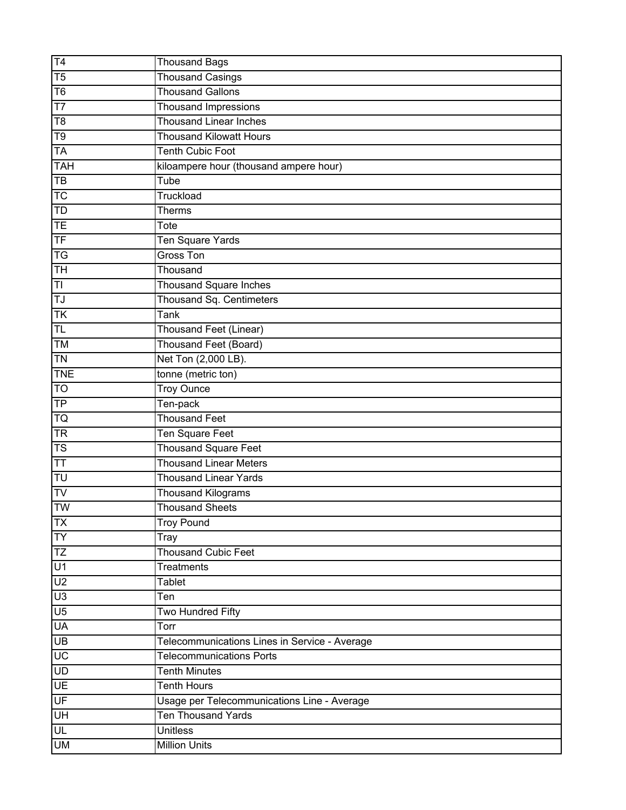| T4                                | <b>Thousand Bags</b>                          |
|-----------------------------------|-----------------------------------------------|
| $\overline{75}$                   | <b>Thousand Casings</b>                       |
| T <sub>6</sub>                    | <b>Thousand Gallons</b>                       |
| $\overline{17}$                   | <b>Thousand Impressions</b>                   |
| $\overline{18}$                   | <b>Thousand Linear Inches</b>                 |
| T <sub>9</sub>                    | <b>Thousand Kilowatt Hours</b>                |
| <b>TA</b>                         | <b>Tenth Cubic Foot</b>                       |
| <b>TAH</b>                        | kiloampere hour (thousand ampere hour)        |
| $\overline{TB}$                   | Tube                                          |
| TC                                | Truckload                                     |
| TD                                | <b>Therms</b>                                 |
| <b>TE</b>                         | Tote                                          |
| TF                                | Ten Square Yards                              |
| $\overline{\mathsf{TG}}$          | <b>Gross Ton</b>                              |
| <b>TH</b>                         | Thousand                                      |
| T <sub>l</sub>                    | <b>Thousand Square Inches</b>                 |
| TJ                                | Thousand Sq. Centimeters                      |
| <b>TK</b>                         | Tank                                          |
| $\overline{\sf TL}$               | <b>Thousand Feet (Linear)</b>                 |
| TM                                | Thousand Feet (Board)                         |
| <b>TN</b>                         | Net Ton (2,000 LB).                           |
| <b>TNE</b>                        | tonne (metric ton)                            |
| TO                                | <b>Troy Ounce</b>                             |
| <b>TP</b>                         | Ten-pack                                      |
| <b>TQ</b>                         | <b>Thousand Feet</b>                          |
| <b>TR</b>                         | Ten Square Feet                               |
| TS                                | <b>Thousand Square Feet</b>                   |
| $\overline{\text{TT}}$            | <b>Thousand Linear Meters</b>                 |
| TU                                | <b>Thousand Linear Yards</b>                  |
| TV                                | <b>Thousand Kilograms</b>                     |
| TW                                | <b>Thousand Sheets</b>                        |
| <b>TX</b>                         | <b>Troy Pound</b>                             |
| <b>TY</b>                         | Tray                                          |
| TZ                                | Thousand Cubic Feet                           |
| U1                                | Treatments                                    |
| U <sub>2</sub>                    | Tablet                                        |
| U3                                | Ten                                           |
| U <sub>5</sub>                    | Two Hundred Fifty                             |
| <b>UA</b>                         | Torr                                          |
| <b>UB</b>                         | Telecommunications Lines in Service - Average |
| $\overline{\mathsf{U}\mathsf{C}}$ | <b>Telecommunications Ports</b>               |
| UD                                | <b>Tenth Minutes</b>                          |
| <b>UE</b>                         | <b>Tenth Hours</b>                            |
| UF                                | Usage per Telecommunications Line - Average   |
| H                                 | <b>Ten Thousand Yards</b>                     |
| UL                                | <b>Unitless</b>                               |
| <b>UM</b>                         | <b>Million Units</b>                          |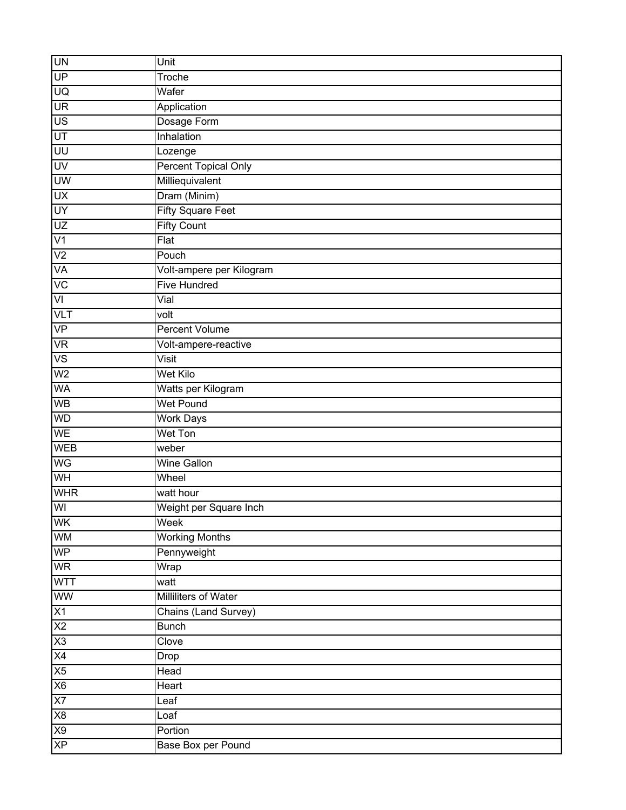| <b>UN</b>               | Unit                        |
|-------------------------|-----------------------------|
| UP                      | Troche                      |
| g                       | Wafer                       |
| <b>UR</b>               | Application                 |
| <b>US</b>               | Dosage Form                 |
| UT                      | Inhalation                  |
| UU                      | Lozenge                     |
| UV                      | <b>Percent Topical Only</b> |
| UW                      | Milliequivalent             |
| UX                      | Dram (Minim)                |
| <b>UY</b>               | <b>Fifty Square Feet</b>    |
| UZ                      | <b>Fifty Count</b>          |
| V <sub>1</sub>          | $F$ lat                     |
| V <sub>2</sub>          | Pouch                       |
| VA                      | Volt-ampere per Kilogram    |
| VC                      | <b>Five Hundred</b>         |
| VI                      | Vial                        |
| <b>VLT</b>              | volt                        |
| VP                      | <b>Percent Volume</b>       |
| <b>VR</b>               | Volt-ampere-reactive        |
| <b>VS</b>               | Visit                       |
| W <sub>2</sub>          | Wet Kilo                    |
| WA                      | Watts per Kilogram          |
| WB                      | <b>Wet Pound</b>            |
| WD                      | <b>Work Days</b>            |
| <b>WE</b>               | Wet Ton                     |
| <b>WEB</b>              | weber                       |
| <b>WG</b>               | <b>Wine Gallon</b>          |
| WH                      | Wheel                       |
| <b>WHR</b>              | watt hour                   |
| $\overline{\mathsf{W}}$ | Weight per Square Inch      |
| WK                      | Week                        |
| <b>WM</b>               | <b>Working Months</b>       |
| <b>WP</b>               | Pennyweight                 |
| <b>WR</b>               | Wrap                        |
| <b>WTT</b>              | watt                        |
| WW                      | Milliliters of Water        |
| X1                      | Chains (Land Survey)        |
| X2                      | <b>Bunch</b>                |
| X3                      | Clove                       |
| X4                      | Drop                        |
| X5                      | Head                        |
| X6                      | Heart                       |
| X7                      | Leaf                        |
| X8                      | Loaf                        |
| X9                      | Portion                     |
| <b>XP</b>               | Base Box per Pound          |